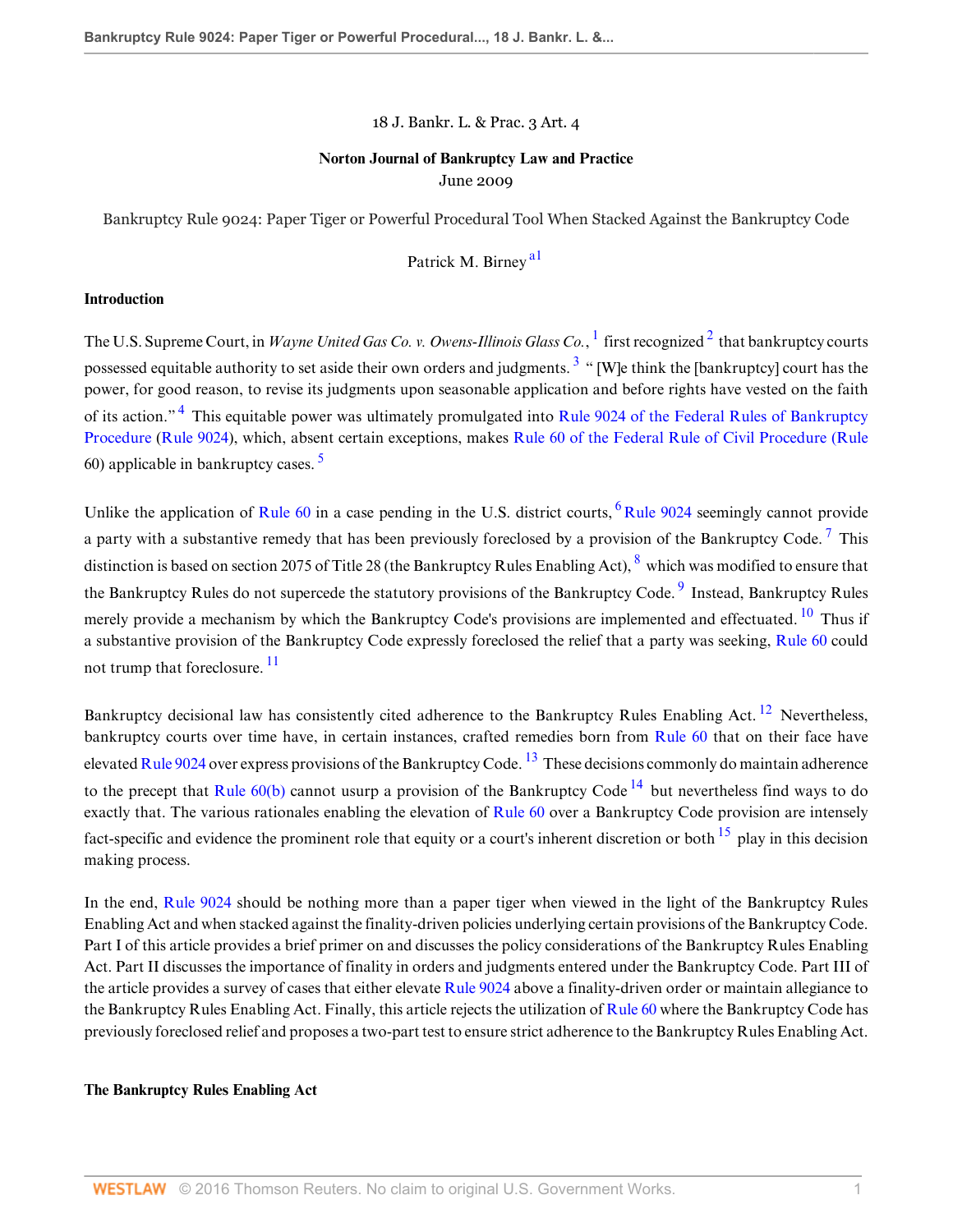18 J. Bankr. L. & Prac. 3 Art. 4

# **Norton Journal of Bankruptcy Law and Practice** June 2009

Bankruptcy Rule 9024: Paper Tiger or Powerful Procedural Tool When Stacked Against the Bankruptcy Code

<span id="page-0-15"></span><span id="page-0-11"></span><span id="page-0-9"></span><span id="page-0-8"></span><span id="page-0-7"></span><span id="page-0-6"></span><span id="page-0-5"></span><span id="page-0-4"></span><span id="page-0-2"></span><span id="page-0-1"></span><span id="page-0-0"></span>Patrick M. Birney<sup>[a1](#page-9-0)</sup>

#### **Introduction**

<span id="page-0-3"></span>The U.S. Supreme Court, in *Wayne United Gas Co. v. Owens-Illinois Glass Co.*, <sup>[1](#page-5-0)</sup> first recognized <sup>[2](#page-5-1)</sup> that bankruptcy courts possessed equitable authority to set aside their own orders and judgments.<sup>[3](#page-5-2)</sup> " [W]e think the [bankruptcy] court has the power, for good reason, to revise its judgments upon seasonable application and before rights have vested on the faith of its action."<sup>[4](#page-5-3)</sup> This equitable power was ultimately promulgated into [Rule 9024 of the Federal Rules of Bankruptcy](http://www.westlaw.com/Link/Document/FullText?findType=L&pubNum=1004365&cite=USFRBPR9024&originatingDoc=I039ae34c4e9111de9b8c850332338889&refType=LQ&originationContext=document&vr=3.0&rs=cblt1.0&transitionType=DocumentItem&contextData=(sc.Search)) [Procedure](http://www.westlaw.com/Link/Document/FullText?findType=L&pubNum=1004365&cite=USFRBPR9024&originatingDoc=I039ae34c4e9111de9b8c850332338889&refType=LQ&originationContext=document&vr=3.0&rs=cblt1.0&transitionType=DocumentItem&contextData=(sc.Search)) ([Rule 9024](http://www.westlaw.com/Link/Document/FullText?findType=L&pubNum=1004365&cite=USFRBPR9024&originatingDoc=I039ae34c4e9111de9b8c850332338889&refType=LQ&originationContext=document&vr=3.0&rs=cblt1.0&transitionType=DocumentItem&contextData=(sc.Search))), which, absent certain exceptions, makes [Rule 60 of the Federal Rule of Civil Procedure \(Rule](http://www.westlaw.com/Link/Document/FullText?findType=L&pubNum=1004365&cite=USFRCPR60&originatingDoc=I039ae34c4e9111de9b8c850332338889&refType=LQ&originationContext=document&vr=3.0&rs=cblt1.0&transitionType=DocumentItem&contextData=(sc.Search)) 60) applicable in bankruptcy cases. [5](#page-5-4)

Unlike the application of [Rule 60](http://www.westlaw.com/Link/Document/FullText?findType=L&pubNum=1004365&cite=USFRCPR60&originatingDoc=I039ae34c4e9111de9b8c850332338889&refType=LQ&originationContext=document&vr=3.0&rs=cblt1.0&transitionType=DocumentItem&contextData=(sc.Search)) in a case pending in the U.S. district courts,  $6$  [Rule 9024](http://www.westlaw.com/Link/Document/FullText?findType=L&pubNum=1004365&cite=USFRBPR9024&originatingDoc=I039ae34c4e9111de9b8c850332338889&refType=LQ&originationContext=document&vr=3.0&rs=cblt1.0&transitionType=DocumentItem&contextData=(sc.Search)) seemingly cannot provide a party with a substantive remedy that has been previously foreclosed by a provision of the Bankruptcy Code.<sup>[7](#page-5-6)</sup> This distinction is based on section 2075 of Title 2[8](#page-5-7) (the Bankruptcy Rules Enabling Act),  $^8$  which was modified to ensure that the Bankruptcy Rules do not supercede the statutory provisions of the Bankruptcy Code.<sup>[9](#page-5-8)</sup> Instead, Bankruptcy Rules merely provide a mechanism by which the Bankruptcy Code's provisions are implemented and effectuated. <sup>[10](#page-5-9)</sup> Thus if a substantive provision of the Bankruptcy Code expressly foreclosed the relief that a party was seeking, [Rule 60](http://www.westlaw.com/Link/Document/FullText?findType=L&pubNum=1004365&cite=USFRCPR60&originatingDoc=I039ae34c4e9111de9b8c850332338889&refType=LQ&originationContext=document&vr=3.0&rs=cblt1.0&transitionType=DocumentItem&contextData=(sc.Search)) could not trump that foreclosure.<sup>[11](#page-5-10)</sup>

<span id="page-0-13"></span><span id="page-0-12"></span><span id="page-0-10"></span>Bankruptcy decisional law has consistently cited adherence to the Bankruptcy Rules Enabling Act.  $^{12}$  $^{12}$  $^{12}$  Nevertheless, bankruptcy courts over time have, in certain instances, crafted remedies born from [Rule 60](http://www.westlaw.com/Link/Document/FullText?findType=L&pubNum=1004365&cite=USFRCPR60&originatingDoc=I039ae34c4e9111de9b8c850332338889&refType=LQ&originationContext=document&vr=3.0&rs=cblt1.0&transitionType=DocumentItem&contextData=(sc.Search)) that on their face have elevated [Rule 9024](http://www.westlaw.com/Link/Document/FullText?findType=L&pubNum=1004365&cite=USFRBPR9024&originatingDoc=I039ae34c4e9111de9b8c850332338889&refType=LQ&originationContext=document&vr=3.0&rs=cblt1.0&transitionType=DocumentItem&contextData=(sc.Search)) over express provisions of the Bankruptcy Code.  $^{13}$  $^{13}$  $^{13}$  These decisions commonly do maintain adherence to the precept that Rule  $60(b)$  cannot usurp a provision of the Bankruptcy Code  $^{14}$  $^{14}$  $^{14}$  but nevertheless find ways to do exactly that. The various rationales enabling the elevation of [Rule 60](http://www.westlaw.com/Link/Document/FullText?findType=L&pubNum=1004365&cite=USFRCPR60&originatingDoc=I039ae34c4e9111de9b8c850332338889&refType=LQ&originationContext=document&vr=3.0&rs=cblt1.0&transitionType=DocumentItem&contextData=(sc.Search)) over a Bankruptcy Code provision are intensely fact-specific and evidence the prominent role that equity or a court's inherent discretion or both  $^{15}$  $^{15}$  $^{15}$  play in this decision making process.

<span id="page-0-14"></span>In the end, [Rule 9024](http://www.westlaw.com/Link/Document/FullText?findType=L&pubNum=1004365&cite=USFRBPR9024&originatingDoc=I039ae34c4e9111de9b8c850332338889&refType=LQ&originationContext=document&vr=3.0&rs=cblt1.0&transitionType=DocumentItem&contextData=(sc.Search)) should be nothing more than a paper tiger when viewed in the light of the Bankruptcy Rules Enabling Act and when stacked against the finality-driven policies underlying certain provisions of the Bankruptcy Code. Part I of this article provides a brief primer on and discusses the policy considerations of the Bankruptcy Rules Enabling Act. Part II discusses the importance of finality in orders and judgments entered under the Bankruptcy Code. Part III of the article provides a survey of cases that either elevate [Rule 9024](http://www.westlaw.com/Link/Document/FullText?findType=L&pubNum=1004365&cite=USFRBPR9024&originatingDoc=I039ae34c4e9111de9b8c850332338889&refType=LQ&originationContext=document&vr=3.0&rs=cblt1.0&transitionType=DocumentItem&contextData=(sc.Search)) above a finality-driven order or maintain allegiance to the Bankruptcy Rules Enabling Act. Finally, this article rejects the utilization of [Rule 60](http://www.westlaw.com/Link/Document/FullText?findType=L&pubNum=1004365&cite=USFRCPR60&originatingDoc=I039ae34c4e9111de9b8c850332338889&refType=LQ&originationContext=document&vr=3.0&rs=cblt1.0&transitionType=DocumentItem&contextData=(sc.Search)) where the Bankruptcy Code has previously foreclosed relief and proposes a two-part test to ensure strict adherence to the Bankruptcy Rules Enabling Act.

#### **The Bankruptcy Rules Enabling Act**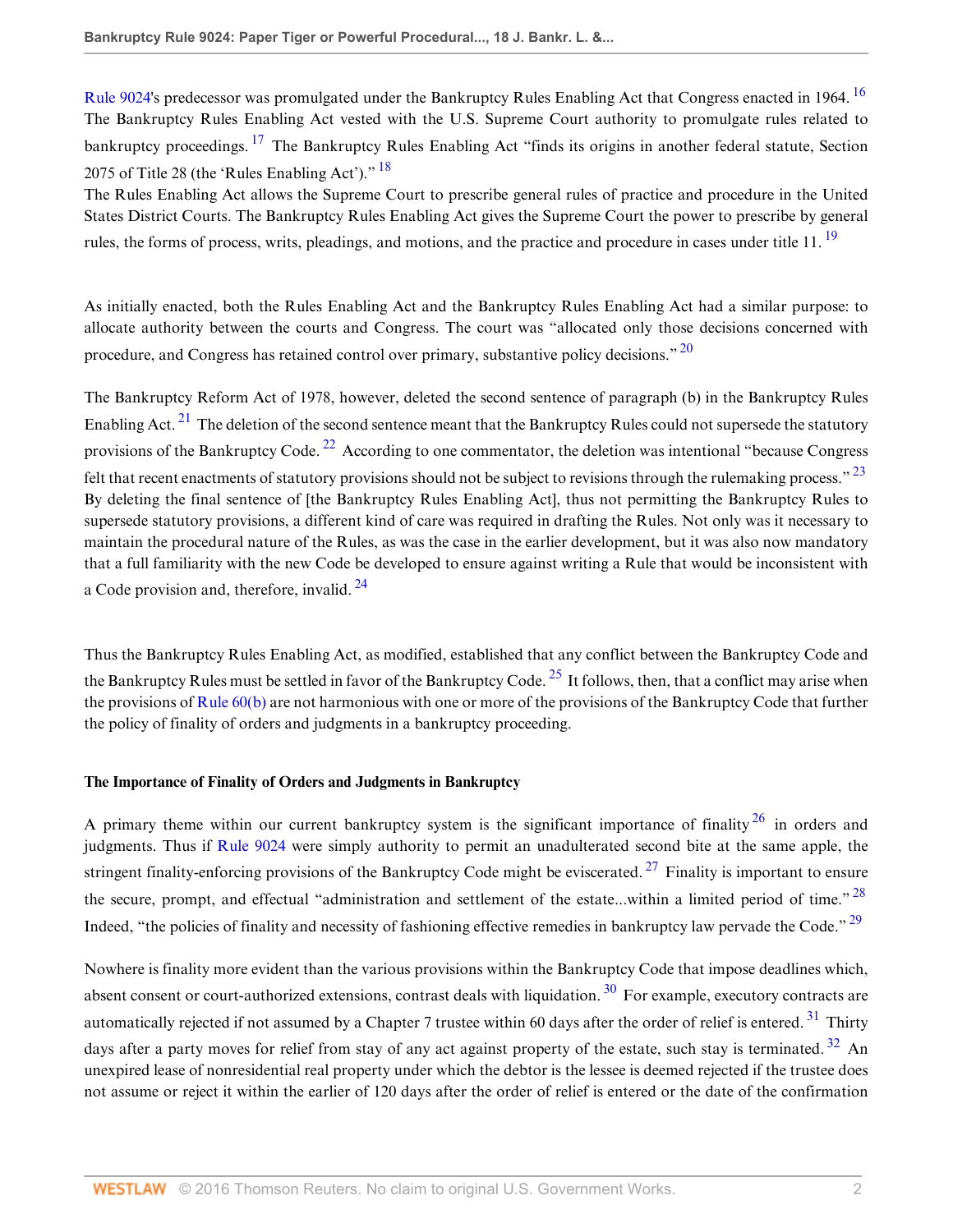<span id="page-1-1"></span><span id="page-1-0"></span>[Rule 9024](http://www.westlaw.com/Link/Document/FullText?findType=L&pubNum=1004365&cite=USFRBPR9024&originatingDoc=I039ae34c4e9111de9b8c850332338889&refType=LQ&originationContext=document&vr=3.0&rs=cblt1.0&transitionType=DocumentItem&contextData=(sc.Search))'s predecessor was promulgated under the Bankruptcy Rules Enabling Act that Congress enacted in 1964. [16](#page-6-3) The Bankruptcy Rules Enabling Act vested with the U.S. Supreme Court authority to promulgate rules related to bankruptcy proceedings. <sup>[17](#page-6-4)</sup> The Bankruptcy Rules Enabling Act "finds its origins in another federal statute, Section 2075 of Title 28 (the 'Rules Enabling Act')."  $18$ 

<span id="page-1-3"></span><span id="page-1-2"></span>The Rules Enabling Act allows the Supreme Court to prescribe general rules of practice and procedure in the United States District Courts. The Bankruptcy Rules Enabling Act gives the Supreme Court the power to prescribe by general rules, the forms of process, writs, pleadings, and motions, and the practice and procedure in cases under title 11.<sup>[19](#page-6-6)</sup>

<span id="page-1-4"></span>As initially enacted, both the Rules Enabling Act and the Bankruptcy Rules Enabling Act had a similar purpose: to allocate authority between the courts and Congress. The court was "allocated only those decisions concerned with procedure, and Congress has retained control over primary, substantive policy decisions." <sup>[20](#page-6-7)</sup>

<span id="page-1-7"></span><span id="page-1-6"></span><span id="page-1-5"></span>The Bankruptcy Reform Act of 1978, however, deleted the second sentence of paragraph (b) in the Bankruptcy Rules Enabling Act.  $^{21}$  $^{21}$  $^{21}$  The deletion of the second sentence meant that the Bankruptcy Rules could not supersede the statutory provisions of the Bankruptcy Code.<sup>[22](#page-6-9)</sup> According to one commentator, the deletion was intentional "because Congress" felt that recent enactments of statutory provisions should not be subject to revisions through the rulemaking process." <sup>[23](#page-6-10)</sup> By deleting the final sentence of [the Bankruptcy Rules Enabling Act], thus not permitting the Bankruptcy Rules to supersede statutory provisions, a different kind of care was required in drafting the Rules. Not only was it necessary to maintain the procedural nature of the Rules, as was the case in the earlier development, but it was also now mandatory that a full familiarity with the new Code be developed to ensure against writing a Rule that would be inconsistent with a Code provision and, therefore, invalid. <sup>[24](#page-6-11)</sup>

<span id="page-1-9"></span><span id="page-1-8"></span>Thus the Bankruptcy Rules Enabling Act, as modified, established that any conflict between the Bankruptcy Code and the Bankruptcy Rules must be settled in favor of the Bankruptcy Code.  $^{25}$  $^{25}$  $^{25}$  It follows, then, that a conflict may arise when the provisions of [Rule 60\(b\)](http://www.westlaw.com/Link/Document/FullText?findType=L&pubNum=1004365&cite=USFRCPR60&originatingDoc=I039ae34c4e9111de9b8c850332338889&refType=LQ&originationContext=document&vr=3.0&rs=cblt1.0&transitionType=DocumentItem&contextData=(sc.Search)) are not harmonious with one or more of the provisions of the Bankruptcy Code that further the policy of finality of orders and judgments in a bankruptcy proceeding.

## **The Importance of Finality of Orders and Judgments in Bankruptcy**

<span id="page-1-12"></span><span id="page-1-11"></span><span id="page-1-10"></span>A primary theme within our current bankruptcy system is the significant importance of finality  $26$  in orders and judgments. Thus if [Rule 9024](http://www.westlaw.com/Link/Document/FullText?findType=L&pubNum=1004365&cite=USFRBPR9024&originatingDoc=I039ae34c4e9111de9b8c850332338889&refType=LQ&originationContext=document&vr=3.0&rs=cblt1.0&transitionType=DocumentItem&contextData=(sc.Search)) were simply authority to permit an unadulterated second bite at the same apple, the stringent finality-enforcing provisions of the Bankruptcy Code might be eviscerated.  $27$  Finality is important to ensure the secure, prompt, and effectual "administration and settlement of the estate...within a limited period of time."  $^{28}$  $^{28}$  $^{28}$ Indeed, "the policies of finality and necessity of fashioning effective remedies in bankruptcy law pervade the Code." <sup>[29](#page-7-0)</sup>

<span id="page-1-16"></span><span id="page-1-15"></span><span id="page-1-14"></span><span id="page-1-13"></span>Nowhere is finality more evident than the various provisions within the Bankruptcy Code that impose deadlines which, absent consent or court-authorized extensions, contrast deals with liquidation.  $30\,$  $30\,$  For example, executory contracts are automatically rejected if not assumed by a Chapter 7 trustee within 60 days after the order of relief is entered.<sup>[31](#page-7-2)</sup> Thirty days after a party moves for relief from stay of any act against property of the estate, such stay is terminated.<sup>[32](#page-7-3)</sup> An unexpired lease of nonresidential real property under which the debtor is the lessee is deemed rejected if the trustee does not assume or reject it within the earlier of 120 days after the order of relief is entered or the date of the confirmation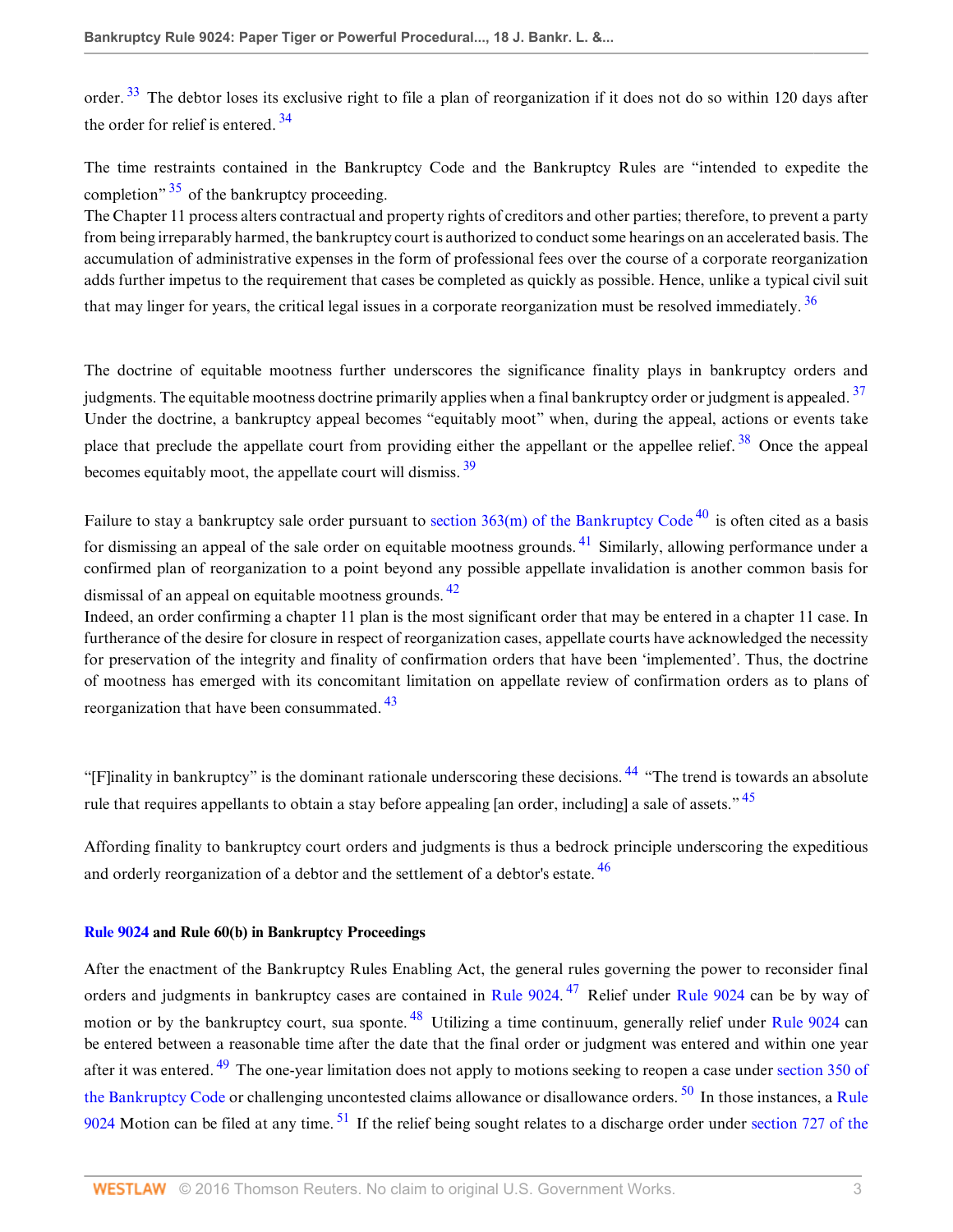<span id="page-2-1"></span><span id="page-2-0"></span>order.<sup>[33](#page-7-4)</sup> The debtor loses its exclusive right to file a plan of reorganization if it does not do so within 120 days after the order for relief is entered.  $34$ 

<span id="page-2-2"></span>The time restraints contained in the Bankruptcy Code and the Bankruptcy Rules are "intended to expedite the completion<sup> $\frac{35}{2}$  $\frac{35}{2}$  $\frac{35}{2}$ </sup> of the bankruptcy proceeding.

The Chapter 11 process alters contractual and property rights of creditors and other parties; therefore, to prevent a party from being irreparably harmed, the bankruptcy court is authorized to conduct some hearings on an accelerated basis. The accumulation of administrative expenses in the form of professional fees over the course of a corporate reorganization adds further impetus to the requirement that cases be completed as quickly as possible. Hence, unlike a typical civil suit that may linger for years, the critical legal issues in a corporate reorganization must be resolved immediately.  $36$ 

<span id="page-2-5"></span><span id="page-2-4"></span><span id="page-2-3"></span>The doctrine of equitable mootness further underscores the significance finality plays in bankruptcy orders and judgments. The equitable mootness doctrine primarily applies when a final bankruptcy order or judgment is appealed.<sup>[37](#page-7-8)</sup> Under the doctrine, a bankruptcy appeal becomes "equitably moot" when, during the appeal, actions or events take place that preclude the appellate court from providing either the appellant or the appellee relief.<sup>[38](#page-7-9)</sup> Once the appeal becomes equitably moot, the appellate court will dismiss. [39](#page-7-10)

<span id="page-2-8"></span><span id="page-2-7"></span><span id="page-2-6"></span>Failure to stay a bankruptcy sale order pursuant to section  $363(m)$  of the Bankruptcy Code<sup>[40](#page-7-11)</sup> is often cited as a basis for dismissing an appeal of the sale order on equitable mootness grounds.  $41$  Similarly, allowing performance under a confirmed plan of reorganization to a point beyond any possible appellate invalidation is another common basis for dismissal of an appeal on equitable mootness grounds. <sup>[42](#page-7-13)</sup>

<span id="page-2-9"></span>Indeed, an order confirming a chapter 11 plan is the most significant order that may be entered in a chapter 11 case. In furtherance of the desire for closure in respect of reorganization cases, appellate courts have acknowledged the necessity for preservation of the integrity and finality of confirmation orders that have been 'implemented'. Thus, the doctrine of mootness has emerged with its concomitant limitation on appellate review of confirmation orders as to plans of reorganization that have been consummated.<sup>[43](#page-7-14)</sup>

<span id="page-2-12"></span><span id="page-2-11"></span><span id="page-2-10"></span>"[F]inality in bankruptcy" is the dominant rationale underscoring these decisions.<sup>[44](#page-7-15)</sup> "The trend is towards an absolute" rule that requires appellants to obtain a stay before appealing [an order, including] a sale of assets."<sup>[45](#page-7-16)</sup>

<span id="page-2-13"></span>Affording finality to bankruptcy court orders and judgments is thus a bedrock principle underscoring the expeditious and orderly reorganization of a debtor and the settlement of a debtor's estate.<sup>[46](#page-7-17)</sup>

## **[Rule 9024](http://www.westlaw.com/Link/Document/FullText?findType=L&pubNum=1004365&cite=USFRBPR9024&originatingDoc=I039ae34c4e9111de9b8c850332338889&refType=LQ&originationContext=document&vr=3.0&rs=cblt1.0&transitionType=DocumentItem&contextData=(sc.Search)) and Rule 60(b) in Bankruptcy Proceedings**

<span id="page-2-18"></span><span id="page-2-17"></span><span id="page-2-16"></span><span id="page-2-15"></span><span id="page-2-14"></span>After the enactment of the Bankruptcy Rules Enabling Act, the general rules governing the power to reconsider final orders and judgments in bankruptcy cases are contained in [Rule 9024.](http://www.westlaw.com/Link/Document/FullText?findType=L&pubNum=1004365&cite=USFRBPR9024&originatingDoc=I039ae34c4e9111de9b8c850332338889&refType=LQ&originationContext=document&vr=3.0&rs=cblt1.0&transitionType=DocumentItem&contextData=(sc.Search))<sup>[47](#page-8-0)</sup> Relief under [Rule 9024](http://www.westlaw.com/Link/Document/FullText?findType=L&pubNum=1004365&cite=USFRBPR9024&originatingDoc=I039ae34c4e9111de9b8c850332338889&refType=LQ&originationContext=document&vr=3.0&rs=cblt1.0&transitionType=DocumentItem&contextData=(sc.Search)) can be by way of motion or by the bankruptcy court, sua sponte. <sup>[48](#page-8-1)</sup> Utilizing a time continuum, generally relief under [Rule 9024](http://www.westlaw.com/Link/Document/FullText?findType=L&pubNum=1004365&cite=USFRBPR9024&originatingDoc=I039ae34c4e9111de9b8c850332338889&refType=LQ&originationContext=document&vr=3.0&rs=cblt1.0&transitionType=DocumentItem&contextData=(sc.Search)) can be entered between a reasonable time after the date that the final order or judgment was entered and within one year after it was entered.<sup>[49](#page-8-2)</sup> The one-year limitation does not apply to motions seeking to reopen a case under [section 350 of](http://www.westlaw.com/Link/Document/FullText?findType=L&pubNum=1000546&cite=11USCAS350&originatingDoc=I039ae34c4e9111de9b8c850332338889&refType=LQ&originationContext=document&vr=3.0&rs=cblt1.0&transitionType=DocumentItem&contextData=(sc.Search)) [the Bankruptcy Code](http://www.westlaw.com/Link/Document/FullText?findType=L&pubNum=1000546&cite=11USCAS350&originatingDoc=I039ae34c4e9111de9b8c850332338889&refType=LQ&originationContext=document&vr=3.0&rs=cblt1.0&transitionType=DocumentItem&contextData=(sc.Search)) or challenging uncontested claims allowance or disallowance orders.  $50$  In those instances, a [Rule](http://www.westlaw.com/Link/Document/FullText?findType=L&pubNum=1004365&cite=USFRBPR9024&originatingDoc=I039ae34c4e9111de9b8c850332338889&refType=LQ&originationContext=document&vr=3.0&rs=cblt1.0&transitionType=DocumentItem&contextData=(sc.Search)) [9024](http://www.westlaw.com/Link/Document/FullText?findType=L&pubNum=1004365&cite=USFRBPR9024&originatingDoc=I039ae34c4e9111de9b8c850332338889&refType=LQ&originationContext=document&vr=3.0&rs=cblt1.0&transitionType=DocumentItem&contextData=(sc.Search)) Motion can be filed at any time.  $51$  If the relief being sought relates to a discharge order under [section 727 of the](http://www.westlaw.com/Link/Document/FullText?findType=L&pubNum=1000546&cite=11USCAS727&originatingDoc=I039ae34c4e9111de9b8c850332338889&refType=LQ&originationContext=document&vr=3.0&rs=cblt1.0&transitionType=DocumentItem&contextData=(sc.Search))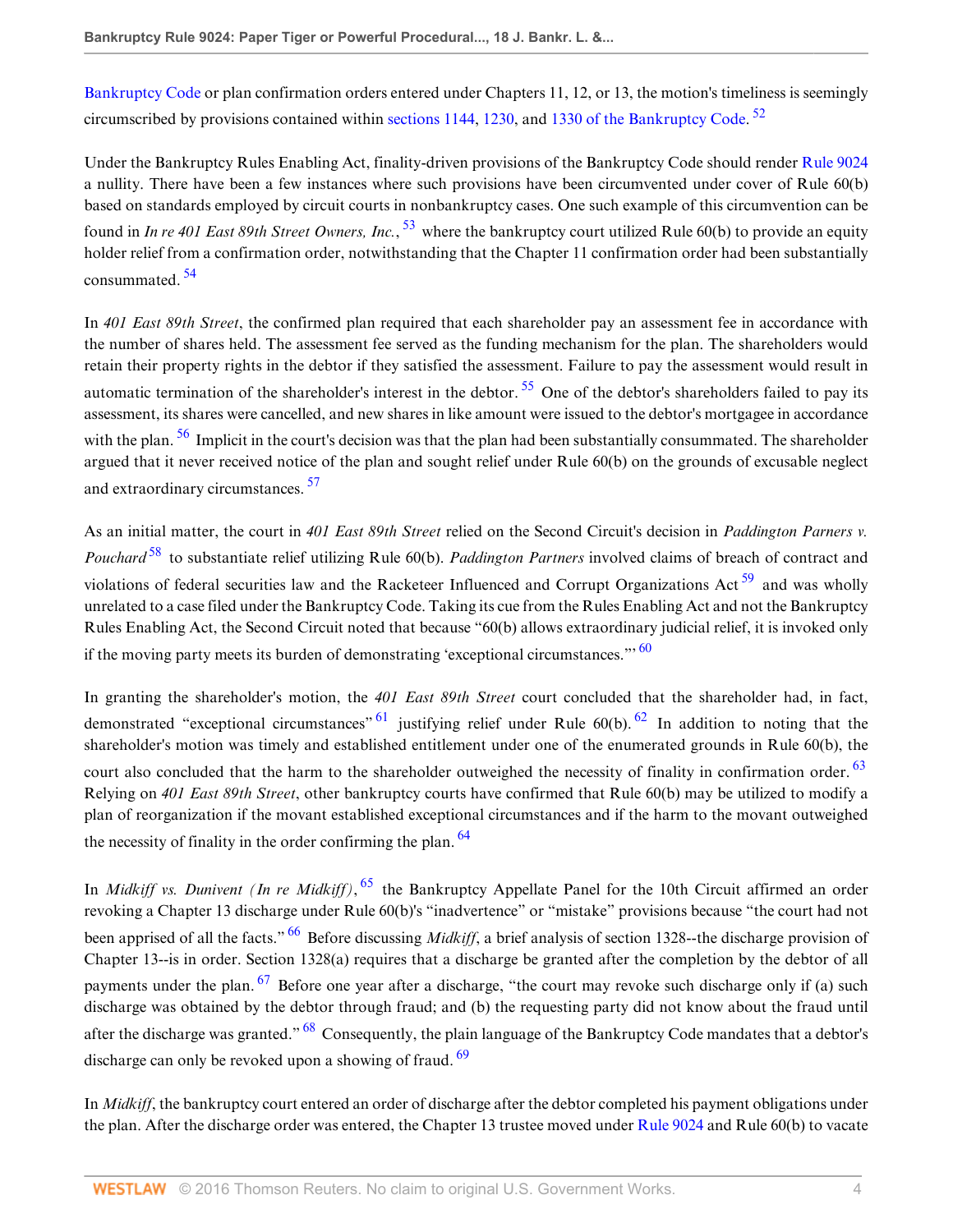<span id="page-3-0"></span>[Bankruptcy Code](http://www.westlaw.com/Link/Document/FullText?findType=L&pubNum=1000546&cite=11USCAS727&originatingDoc=I039ae34c4e9111de9b8c850332338889&refType=LQ&originationContext=document&vr=3.0&rs=cblt1.0&transitionType=DocumentItem&contextData=(sc.Search)) or plan confirmation orders entered under Chapters 11, 12, or 13, the motion's timeliness is seemingly circumscribed by provisions contained within [sections 1144](http://www.westlaw.com/Link/Document/FullText?findType=L&pubNum=1000546&cite=11USCAS1144&originatingDoc=I039ae34c4e9111de9b8c850332338889&refType=LQ&originationContext=document&vr=3.0&rs=cblt1.0&transitionType=DocumentItem&contextData=(sc.Search)), [1230](http://www.westlaw.com/Link/Document/FullText?findType=L&pubNum=1000546&cite=11USCAS1230&originatingDoc=I039ae34c4e9111de9b8c850332338889&refType=LQ&originationContext=document&vr=3.0&rs=cblt1.0&transitionType=DocumentItem&contextData=(sc.Search)), and [1330 of the Bankruptcy Code](http://www.westlaw.com/Link/Document/FullText?findType=L&pubNum=1000546&cite=11USCAS1330&originatingDoc=I039ae34c4e9111de9b8c850332338889&refType=LQ&originationContext=document&vr=3.0&rs=cblt1.0&transitionType=DocumentItem&contextData=(sc.Search)).<sup>[52](#page-8-5)</sup>

<span id="page-3-1"></span>Under the Bankruptcy Rules Enabling Act, finality-driven provisions of the Bankruptcy Code should render [Rule 9024](http://www.westlaw.com/Link/Document/FullText?findType=L&pubNum=1004365&cite=USFRBPR9024&originatingDoc=I039ae34c4e9111de9b8c850332338889&refType=LQ&originationContext=document&vr=3.0&rs=cblt1.0&transitionType=DocumentItem&contextData=(sc.Search)) a nullity. There have been a few instances where such provisions have been circumvented under cover of Rule 60(b) based on standards employed by circuit courts in nonbankruptcy cases. One such example of this circumvention can be found in *In re 401 East 89th Street Owners, Inc.*, <sup>[53](#page-8-6)</sup> where the bankruptcy court utilized Rule 60(b) to provide an equity holder relief from a confirmation order, notwithstanding that the Chapter 11 confirmation order had been substantially consummated. [54](#page-8-7)

<span id="page-3-3"></span><span id="page-3-2"></span>In *401 East 89th Street*, the confirmed plan required that each shareholder pay an assessment fee in accordance with the number of shares held. The assessment fee served as the funding mechanism for the plan. The shareholders would retain their property rights in the debtor if they satisfied the assessment. Failure to pay the assessment would result in automatic termination of the shareholder's interest in the debtor.  $55$  One of the debtor's shareholders failed to pay its assessment, its shares were cancelled, and new shares in like amount were issued to the debtor's mortgagee in accordance with the plan.  $56$  Implicit in the court's decision was that the plan had been substantially consummated. The shareholder argued that it never received notice of the plan and sought relief under Rule 60(b) on the grounds of excusable neglect and extraordinary circumstances.<sup>[57](#page-9-3)</sup>

<span id="page-3-7"></span><span id="page-3-6"></span><span id="page-3-5"></span><span id="page-3-4"></span>As an initial matter, the court in *401 East 89th Street* relied on the Second Circuit's decision in *Paddington Parners v. Pouchard* [58](#page-9-4) to substantiate relief utilizing Rule 60(b). *Paddington Partners* involved claims of breach of contract and violations of federal securities law and the Racketeer Influenced and Corrupt Organizations Act<sup>[59](#page-9-5)</sup> and was wholly unrelated to a case filed under the Bankruptcy Code. Taking its cue from the Rules Enabling Act and not the Bankruptcy Rules Enabling Act, the Second Circuit noted that because "60(b) allows extraordinary judicial relief, it is invoked only if the moving party meets its burden of demonstrating 'exceptional circumstances."<sup>[60](#page-9-6)</sup>

<span id="page-3-11"></span><span id="page-3-10"></span><span id="page-3-9"></span><span id="page-3-8"></span>In granting the shareholder's motion, the *401 East 89th Street* court concluded that the shareholder had, in fact, demonstrated "exceptional circumstances"  $\frac{61}{1}$  $\frac{61}{1}$  $\frac{61}{1}$  justifying relief under Rule 60(b). <sup>[62](#page-9-8)</sup> In addition to noting that the shareholder's motion was timely and established entitlement under one of the enumerated grounds in Rule 60(b), the court also concluded that the harm to the shareholder outweighed the necessity of finality in confirmation order. <sup>[63](#page-9-9)</sup> Relying on *401 East 89th Street*, other bankruptcy courts have confirmed that Rule 60(b) may be utilized to modify a plan of reorganization if the movant established exceptional circumstances and if the harm to the movant outweighed the necessity of finality in the order confirming the plan.  $64$ 

<span id="page-3-15"></span><span id="page-3-14"></span><span id="page-3-13"></span><span id="page-3-12"></span>In *Midkiff vs. Dunivent (In re Midkiff)*, [65](#page-9-11) the Bankruptcy Appellate Panel for the 10th Circuit affirmed an order revoking a Chapter 13 discharge under Rule 60(b)'s "inadvertence" or "mistake" provisions because "the court had not been apprised of all the facts."<sup>[66](#page-9-12)</sup> Before discussing *Midkiff*, a brief analysis of section 1328--the discharge provision of Chapter 13--is in order. Section 1328(a) requires that a discharge be granted after the completion by the debtor of all payments under the plan. <sup>[67](#page-9-13)</sup> Before one year after a discharge, "the court may revoke such discharge only if (a) such discharge was obtained by the debtor through fraud; and (b) the requesting party did not know about the fraud until after the discharge was granted." <sup>[68](#page-9-14)</sup> Consequently, the plain language of the Bankruptcy Code mandates that a debtor's discharge can only be revoked upon a showing of fraud.  $69$ 

<span id="page-3-17"></span><span id="page-3-16"></span>In *Midkiff*, the bankruptcy court entered an order of discharge after the debtor completed his payment obligations under the plan. After the discharge order was entered, the Chapter 13 trustee moved under [Rule 9024](http://www.westlaw.com/Link/Document/FullText?findType=L&pubNum=1004365&cite=USFRBPR9024&originatingDoc=I039ae34c4e9111de9b8c850332338889&refType=LQ&originationContext=document&vr=3.0&rs=cblt1.0&transitionType=DocumentItem&contextData=(sc.Search)) and Rule 60(b) to vacate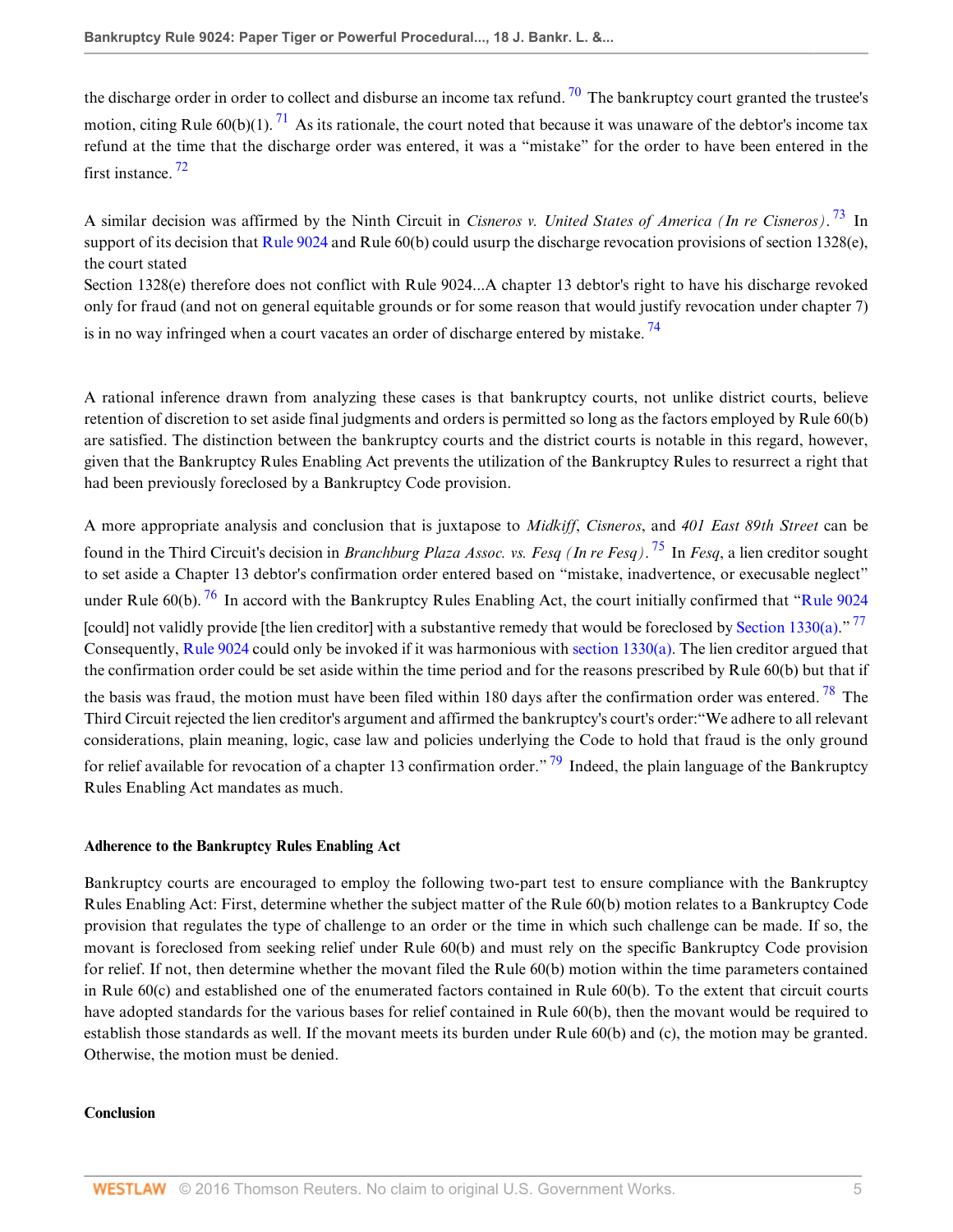<span id="page-4-1"></span><span id="page-4-0"></span>the discharge order in order to collect and disburse an income tax refund.  $\frac{70}{10}$  $\frac{70}{10}$  $\frac{70}{10}$  The bankruptcy court granted the trustee's motion, citing Rule  $60(b)(1)$ . <sup>[71](#page-9-17)</sup> As its rationale, the court noted that because it was unaware of the debtor's income tax refund at the time that the discharge order was entered, it was a "mistake" for the order to have been entered in the first instance. [72](#page-9-18)

<span id="page-4-3"></span><span id="page-4-2"></span>A similar decision was affirmed by the Ninth Circuit in *Cisneros v. United States of America (In re Cisneros)*. [73](#page-9-19) In support of its decision that [Rule 9024](http://www.westlaw.com/Link/Document/FullText?findType=L&pubNum=1004365&cite=USFRBPR9024&originatingDoc=I039ae34c4e9111de9b8c850332338889&refType=LQ&originationContext=document&vr=3.0&rs=cblt1.0&transitionType=DocumentItem&contextData=(sc.Search)) and Rule 60(b) could usurp the discharge revocation provisions of section 1328(e), the court stated

<span id="page-4-4"></span>Section 1328(e) therefore does not conflict with Rule 9024...A chapter 13 debtor's right to have his discharge revoked only for fraud (and not on general equitable grounds or for some reason that would justify revocation under chapter 7) is in no way infringed when a court vacates an order of discharge entered by mistake.<sup>[74](#page-9-20)</sup>

A rational inference drawn from analyzing these cases is that bankruptcy courts, not unlike district courts, believe retention of discretion to set aside final judgments and orders is permitted so long as the factors employed by Rule 60(b) are satisfied. The distinction between the bankruptcy courts and the district courts is notable in this regard, however, given that the Bankruptcy Rules Enabling Act prevents the utilization of the Bankruptcy Rules to resurrect a right that had been previously foreclosed by a Bankruptcy Code provision.

<span id="page-4-7"></span><span id="page-4-6"></span><span id="page-4-5"></span>A more appropriate analysis and conclusion that is juxtapose to *Midkiff*, *Cisneros*, and *401 East 89th Street* can be found in the Third Circuit's decision in *Branchburg Plaza Assoc. vs. Fesq (In re Fesq)*. [75](#page-9-21) In *Fesq*, a lien creditor sought to set aside a Chapter 13 debtor's confirmation order entered based on "mistake, inadvertence, or execusable neglect" under Rule 60(b).  $^{76}$  $^{76}$  $^{76}$  In accord with the Bankruptcy Rules Enabling Act, the court initially confirmed that "[Rule 9024](http://www.westlaw.com/Link/Document/FullText?findType=L&pubNum=1004365&cite=USFRBPR9024&originatingDoc=I039ae34c4e9111de9b8c850332338889&refType=LQ&originationContext=document&vr=3.0&rs=cblt1.0&transitionType=DocumentItem&contextData=(sc.Search)) [could] not validly provide [the lien creditor] with a substantive remedy that would be foreclosed by [Section 1330\(a\).](http://www.westlaw.com/Link/Document/FullText?findType=L&pubNum=1000546&cite=11USCAS1330&originatingDoc=I039ae34c4e9111de9b8c850332338889&refType=LQ&originationContext=document&vr=3.0&rs=cblt1.0&transitionType=DocumentItem&contextData=(sc.Search))"<sup>[77](#page-9-23)</sup> Consequently, [Rule 9024](http://www.westlaw.com/Link/Document/FullText?findType=L&pubNum=1004365&cite=USFRBPR9024&originatingDoc=I039ae34c4e9111de9b8c850332338889&refType=LQ&originationContext=document&vr=3.0&rs=cblt1.0&transitionType=DocumentItem&contextData=(sc.Search)) could only be invoked if it was harmonious with [section 1330\(a\).](http://www.westlaw.com/Link/Document/FullText?findType=L&pubNum=1000546&cite=11USCAS1330&originatingDoc=I039ae34c4e9111de9b8c850332338889&refType=LQ&originationContext=document&vr=3.0&rs=cblt1.0&transitionType=DocumentItem&contextData=(sc.Search)) The lien creditor argued that the confirmation order could be set aside within the time period and for the reasons prescribed by Rule 60(b) but that if the basis was fraud, the motion must have been filed within 180 days after the confirmation order was entered.<sup>[78](#page-9-24)</sup> The Third Circuit rejected the lien creditor's argument and affirmed the bankruptcy's court's order:"We adhere to all relevant considerations, plain meaning, logic, case law and policies underlying the Code to hold that fraud is the only ground for relief available for revocation of a chapter 13 confirmation order." <sup>[79](#page-9-25)</sup> Indeed, the plain language of the Bankruptcy Rules Enabling Act mandates as much.

## <span id="page-4-9"></span><span id="page-4-8"></span>**Adherence to the Bankruptcy Rules Enabling Act**

Bankruptcy courts are encouraged to employ the following two-part test to ensure compliance with the Bankruptcy Rules Enabling Act: First, determine whether the subject matter of the Rule 60(b) motion relates to a Bankruptcy Code provision that regulates the type of challenge to an order or the time in which such challenge can be made. If so, the movant is foreclosed from seeking relief under Rule 60(b) and must rely on the specific Bankruptcy Code provision for relief. If not, then determine whether the movant filed the Rule 60(b) motion within the time parameters contained in Rule 60(c) and established one of the enumerated factors contained in Rule 60(b). To the extent that circuit courts have adopted standards for the various bases for relief contained in Rule 60(b), then the movant would be required to establish those standards as well. If the movant meets its burden under Rule 60(b) and (c), the motion may be granted. Otherwise, the motion must be denied.

#### **Conclusion**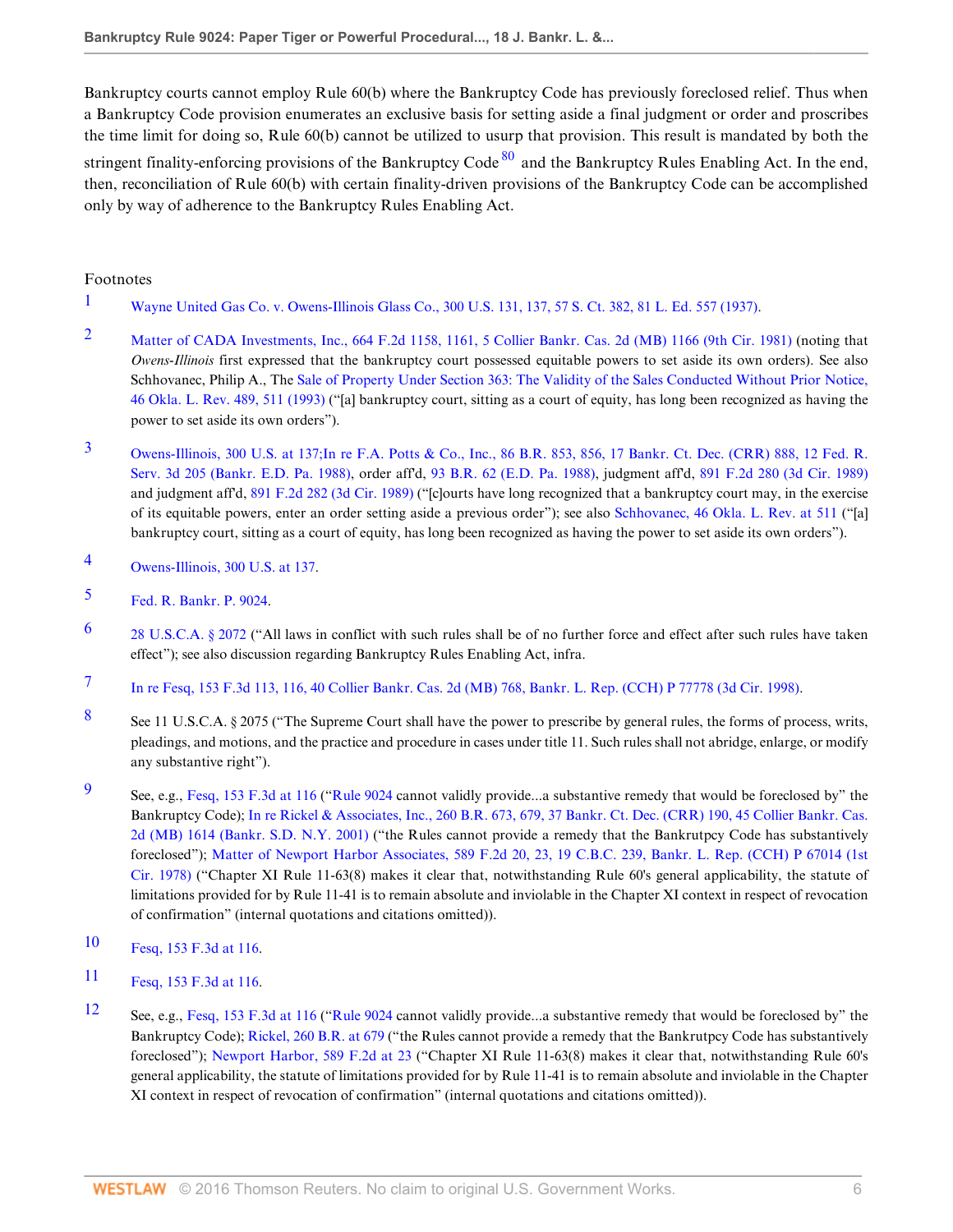<span id="page-5-12"></span>Bankruptcy courts cannot employ Rule 60(b) where the Bankruptcy Code has previously foreclosed relief. Thus when a Bankruptcy Code provision enumerates an exclusive basis for setting aside a final judgment or order and proscribes the time limit for doing so, Rule 60(b) cannot be utilized to usurp that provision. This result is mandated by both the stringent finality-enforcing provisions of the Bankruptcy Code  $80$  and the Bankruptcy Rules Enabling Act. In the end, then, reconciliation of Rule 60(b) with certain finality-driven provisions of the Bankruptcy Code can be accomplished only by way of adherence to the Bankruptcy Rules Enabling Act.

## Footnotes

- <span id="page-5-0"></span>[1](#page-0-0) [Wayne United Gas Co. v. Owens-Illinois Glass Co., 300 U.S. 131, 137, 57 S. Ct. 382, 81 L. Ed. 557 \(1937\).](http://www.westlaw.com/Link/Document/FullText?findType=Y&serNum=1937122268&pubNum=708&originatingDoc=I039ae34c4e9111de9b8c850332338889&refType=RP&originationContext=document&vr=3.0&rs=cblt1.0&transitionType=DocumentItem&contextData=(sc.Search))
- <span id="page-5-1"></span>[2](#page-0-1) [Matter of CADA Investments, Inc., 664 F.2d 1158, 1161, 5 Collier Bankr. Cas. 2d \(MB\) 1166 \(9th Cir. 1981\)](http://www.westlaw.com/Link/Document/FullText?findType=Y&serNum=1981151354&pubNum=350&originatingDoc=I039ae34c4e9111de9b8c850332338889&refType=RP&fi=co_pp_sp_350_1161&originationContext=document&vr=3.0&rs=cblt1.0&transitionType=DocumentItem&contextData=(sc.Search)#co_pp_sp_350_1161) (noting that *Owens-Illinois* first expressed that the bankruptcy court possessed equitable powers to set aside its own orders). See also Schhovanec, Philip A., The [Sale of Property Under Section 363: The Validity of the Sales Conducted Without Prior Notice,](http://www.westlaw.com/Link/Document/FullText?findType=Y&serNum=0104470892&pubNum=1218&originatingDoc=I039ae34c4e9111de9b8c850332338889&refType=LR&fi=co_pp_sp_1218_511&originationContext=document&vr=3.0&rs=cblt1.0&transitionType=DocumentItem&contextData=(sc.Search)#co_pp_sp_1218_511) [46 Okla. L. Rev. 489, 511 \(1993\)](http://www.westlaw.com/Link/Document/FullText?findType=Y&serNum=0104470892&pubNum=1218&originatingDoc=I039ae34c4e9111de9b8c850332338889&refType=LR&fi=co_pp_sp_1218_511&originationContext=document&vr=3.0&rs=cblt1.0&transitionType=DocumentItem&contextData=(sc.Search)#co_pp_sp_1218_511) ("[a] bankruptcy court, sitting as a court of equity, has long been recognized as having the power to set aside its own orders").
- <span id="page-5-2"></span>[3](#page-0-2) [Owens-Illinois, 300 U.S. at 137;](http://www.westlaw.com/Link/Document/FullText?findType=Y&serNum=1937122268&pubNum=780&originatingDoc=I039ae34c4e9111de9b8c850332338889&refType=RP&fi=co_pp_sp_780_137&originationContext=document&vr=3.0&rs=cblt1.0&transitionType=DocumentItem&contextData=(sc.Search)#co_pp_sp_780_137)[In re F.A. Potts & Co., Inc., 86 B.R. 853, 856, 17 Bankr. Ct. Dec. \(CRR\) 888, 12 Fed. R.](http://www.westlaw.com/Link/Document/FullText?findType=Y&serNum=1988073772&pubNum=164&originatingDoc=I039ae34c4e9111de9b8c850332338889&refType=RP&fi=co_pp_sp_164_856&originationContext=document&vr=3.0&rs=cblt1.0&transitionType=DocumentItem&contextData=(sc.Search)#co_pp_sp_164_856) [Serv. 3d 205 \(Bankr. E.D. Pa. 1988\)](http://www.westlaw.com/Link/Document/FullText?findType=Y&serNum=1988073772&pubNum=164&originatingDoc=I039ae34c4e9111de9b8c850332338889&refType=RP&fi=co_pp_sp_164_856&originationContext=document&vr=3.0&rs=cblt1.0&transitionType=DocumentItem&contextData=(sc.Search)#co_pp_sp_164_856), order aff'd, [93 B.R. 62 \(E.D. Pa. 1988\),](http://www.westlaw.com/Link/Document/FullText?findType=Y&serNum=1988150924&pubNum=164&originatingDoc=I039ae34c4e9111de9b8c850332338889&refType=RP&originationContext=document&vr=3.0&rs=cblt1.0&transitionType=DocumentItem&contextData=(sc.Search)) judgment aff'd, [891 F.2d 280 \(3d Cir. 1989\)](http://www.westlaw.com/Link/Document/FullText?findType=Y&serNum=1989171845&pubNum=350&originatingDoc=I039ae34c4e9111de9b8c850332338889&refType=RP&originationContext=document&vr=3.0&rs=cblt1.0&transitionType=DocumentItem&contextData=(sc.Search)) and judgment aff'd, [891 F.2d 282 \(3d Cir. 1989\)](http://www.westlaw.com/Link/Document/FullText?findType=Y&serNum=1989171846&pubNum=350&originatingDoc=I039ae34c4e9111de9b8c850332338889&refType=RP&originationContext=document&vr=3.0&rs=cblt1.0&transitionType=DocumentItem&contextData=(sc.Search)) ("[c]ourts have long recognized that a bankruptcy court may, in the exercise of its equitable powers, enter an order setting aside a previous order"); see also [Schhovanec, 46 Okla. L. Rev. at 511](http://www.westlaw.com/Link/Document/FullText?findType=Y&serNum=0104470892&pubNum=1218&originatingDoc=I039ae34c4e9111de9b8c850332338889&refType=LR&fi=co_pp_sp_1218_511&originationContext=document&vr=3.0&rs=cblt1.0&transitionType=DocumentItem&contextData=(sc.Search)#co_pp_sp_1218_511) ("[a] bankruptcy court, sitting as a court of equity, has long been recognized as having the power to set aside its own orders").
- <span id="page-5-3"></span>[4](#page-0-3) [Owens-Illinois, 300 U.S. at 137.](http://www.westlaw.com/Link/Document/FullText?findType=Y&serNum=1937122268&pubNum=780&originatingDoc=I039ae34c4e9111de9b8c850332338889&refType=RP&fi=co_pp_sp_780_137&originationContext=document&vr=3.0&rs=cblt1.0&transitionType=DocumentItem&contextData=(sc.Search)#co_pp_sp_780_137)
- <span id="page-5-4"></span>[5](#page-0-4) [Fed. R. Bankr. P. 9024.](http://www.westlaw.com/Link/Document/FullText?findType=L&pubNum=1004365&cite=USFRBPR9024&originatingDoc=I039ae34c4e9111de9b8c850332338889&refType=LQ&originationContext=document&vr=3.0&rs=cblt1.0&transitionType=DocumentItem&contextData=(sc.Search))
- <span id="page-5-5"></span>[6](#page-0-5) [28 U.S.C.A. § 2072](http://www.westlaw.com/Link/Document/FullText?findType=L&pubNum=1000546&cite=28USCAS2072&originatingDoc=I039ae34c4e9111de9b8c850332338889&refType=LQ&originationContext=document&vr=3.0&rs=cblt1.0&transitionType=DocumentItem&contextData=(sc.Search)) ("All laws in conflict with such rules shall be of no further force and effect after such rules have taken effect"); see also discussion regarding Bankruptcy Rules Enabling Act, infra.
- <span id="page-5-6"></span>[7](#page-0-6) [In re Fesq, 153 F.3d 113, 116, 40 Collier Bankr. Cas. 2d \(MB\) 768, Bankr. L. Rep. \(CCH\) P 77778 \(3d Cir. 1998\).](http://www.westlaw.com/Link/Document/FullText?findType=Y&serNum=1998173031&pubNum=506&originatingDoc=I039ae34c4e9111de9b8c850332338889&refType=RP&fi=co_pp_sp_506_116&originationContext=document&vr=3.0&rs=cblt1.0&transitionType=DocumentItem&contextData=(sc.Search)#co_pp_sp_506_116)
- <span id="page-5-7"></span>[8](#page-0-7) See 11 U.S.C.A. § 2075 ("The Supreme Court shall have the power to prescribe by general rules, the forms of process, writs, pleadings, and motions, and the practice and procedure in cases under title 11. Such rules shall not abridge, enlarge, or modify any substantive right").
- <span id="page-5-8"></span>[9](#page-0-8) See, e.g., [Fesq, 153 F.3d at 116](http://www.westlaw.com/Link/Document/FullText?findType=Y&serNum=1998173031&pubNum=506&originatingDoc=I039ae34c4e9111de9b8c850332338889&refType=RP&fi=co_pp_sp_506_116&originationContext=document&vr=3.0&rs=cblt1.0&transitionType=DocumentItem&contextData=(sc.Search)#co_pp_sp_506_116) ("[Rule 9024](http://www.westlaw.com/Link/Document/FullText?findType=L&pubNum=1004365&cite=USFRBPR9024&originatingDoc=I039ae34c4e9111de9b8c850332338889&refType=LQ&originationContext=document&vr=3.0&rs=cblt1.0&transitionType=DocumentItem&contextData=(sc.Search)) cannot validly provide...a substantive remedy that would be foreclosed by" the Bankruptcy Code); [In re Rickel & Associates, Inc., 260 B.R. 673, 679, 37 Bankr. Ct. Dec. \(CRR\) 190, 45 Collier Bankr. Cas.](http://www.westlaw.com/Link/Document/FullText?findType=Y&serNum=2001305925&pubNum=164&originatingDoc=I039ae34c4e9111de9b8c850332338889&refType=RP&fi=co_pp_sp_164_679&originationContext=document&vr=3.0&rs=cblt1.0&transitionType=DocumentItem&contextData=(sc.Search)#co_pp_sp_164_679) [2d \(MB\) 1614 \(Bankr. S.D. N.Y. 2001\)](http://www.westlaw.com/Link/Document/FullText?findType=Y&serNum=2001305925&pubNum=164&originatingDoc=I039ae34c4e9111de9b8c850332338889&refType=RP&fi=co_pp_sp_164_679&originationContext=document&vr=3.0&rs=cblt1.0&transitionType=DocumentItem&contextData=(sc.Search)#co_pp_sp_164_679) ("the Rules cannot provide a remedy that the Bankrutpcy Code has substantively foreclosed"); [Matter of Newport Harbor Associates, 589 F.2d 20, 23, 19 C.B.C. 239, Bankr. L. Rep. \(CCH\) P 67014 \(1st](http://www.westlaw.com/Link/Document/FullText?findType=Y&serNum=1978121351&pubNum=350&originatingDoc=I039ae34c4e9111de9b8c850332338889&refType=RP&fi=co_pp_sp_350_23&originationContext=document&vr=3.0&rs=cblt1.0&transitionType=DocumentItem&contextData=(sc.Search)#co_pp_sp_350_23) [Cir. 1978\)](http://www.westlaw.com/Link/Document/FullText?findType=Y&serNum=1978121351&pubNum=350&originatingDoc=I039ae34c4e9111de9b8c850332338889&refType=RP&fi=co_pp_sp_350_23&originationContext=document&vr=3.0&rs=cblt1.0&transitionType=DocumentItem&contextData=(sc.Search)#co_pp_sp_350_23) ("Chapter XI Rule 11-63(8) makes it clear that, notwithstanding Rule 60's general applicability, the statute of limitations provided for by Rule 11-41 is to remain absolute and inviolable in the Chapter XI context in respect of revocation of confirmation" (internal quotations and citations omitted)).
- <span id="page-5-9"></span>[10](#page-0-9) [Fesq, 153 F.3d at 116](http://www.westlaw.com/Link/Document/FullText?findType=Y&serNum=1998173031&pubNum=506&originatingDoc=I039ae34c4e9111de9b8c850332338889&refType=RP&fi=co_pp_sp_506_116&originationContext=document&vr=3.0&rs=cblt1.0&transitionType=DocumentItem&contextData=(sc.Search)#co_pp_sp_506_116).
- <span id="page-5-10"></span>[11](#page-0-10) [Fesq, 153 F.3d at 116](http://www.westlaw.com/Link/Document/FullText?findType=Y&serNum=1998173031&pubNum=506&originatingDoc=I039ae34c4e9111de9b8c850332338889&refType=RP&fi=co_pp_sp_506_116&originationContext=document&vr=3.0&rs=cblt1.0&transitionType=DocumentItem&contextData=(sc.Search)#co_pp_sp_506_116).
- <span id="page-5-11"></span>[12](#page-0-11) See, e.g., [Fesq, 153 F.3d at 116](http://www.westlaw.com/Link/Document/FullText?findType=Y&serNum=1998173031&pubNum=506&originatingDoc=I039ae34c4e9111de9b8c850332338889&refType=RP&fi=co_pp_sp_506_116&originationContext=document&vr=3.0&rs=cblt1.0&transitionType=DocumentItem&contextData=(sc.Search)#co_pp_sp_506_116) ("[Rule 9024](http://www.westlaw.com/Link/Document/FullText?findType=L&pubNum=1004365&cite=USFRBPR9024&originatingDoc=I039ae34c4e9111de9b8c850332338889&refType=LQ&originationContext=document&vr=3.0&rs=cblt1.0&transitionType=DocumentItem&contextData=(sc.Search)) cannot validly provide...a substantive remedy that would be foreclosed by" the Bankruptcy Code); [Rickel, 260 B.R. at 679](http://www.westlaw.com/Link/Document/FullText?findType=Y&serNum=2001305925&pubNum=164&originatingDoc=I039ae34c4e9111de9b8c850332338889&refType=RP&fi=co_pp_sp_164_679&originationContext=document&vr=3.0&rs=cblt1.0&transitionType=DocumentItem&contextData=(sc.Search)#co_pp_sp_164_679) ("the Rules cannot provide a remedy that the Bankrutpcy Code has substantively foreclosed"); [Newport Harbor, 589 F.2d at 23](http://www.westlaw.com/Link/Document/FullText?findType=Y&serNum=1978121351&pubNum=350&originatingDoc=I039ae34c4e9111de9b8c850332338889&refType=RP&fi=co_pp_sp_350_23&originationContext=document&vr=3.0&rs=cblt1.0&transitionType=DocumentItem&contextData=(sc.Search)#co_pp_sp_350_23) ("Chapter XI Rule 11-63(8) makes it clear that, notwithstanding Rule 60's general applicability, the statute of limitations provided for by Rule 11-41 is to remain absolute and inviolable in the Chapter XI context in respect of revocation of confirmation" (internal quotations and citations omitted)).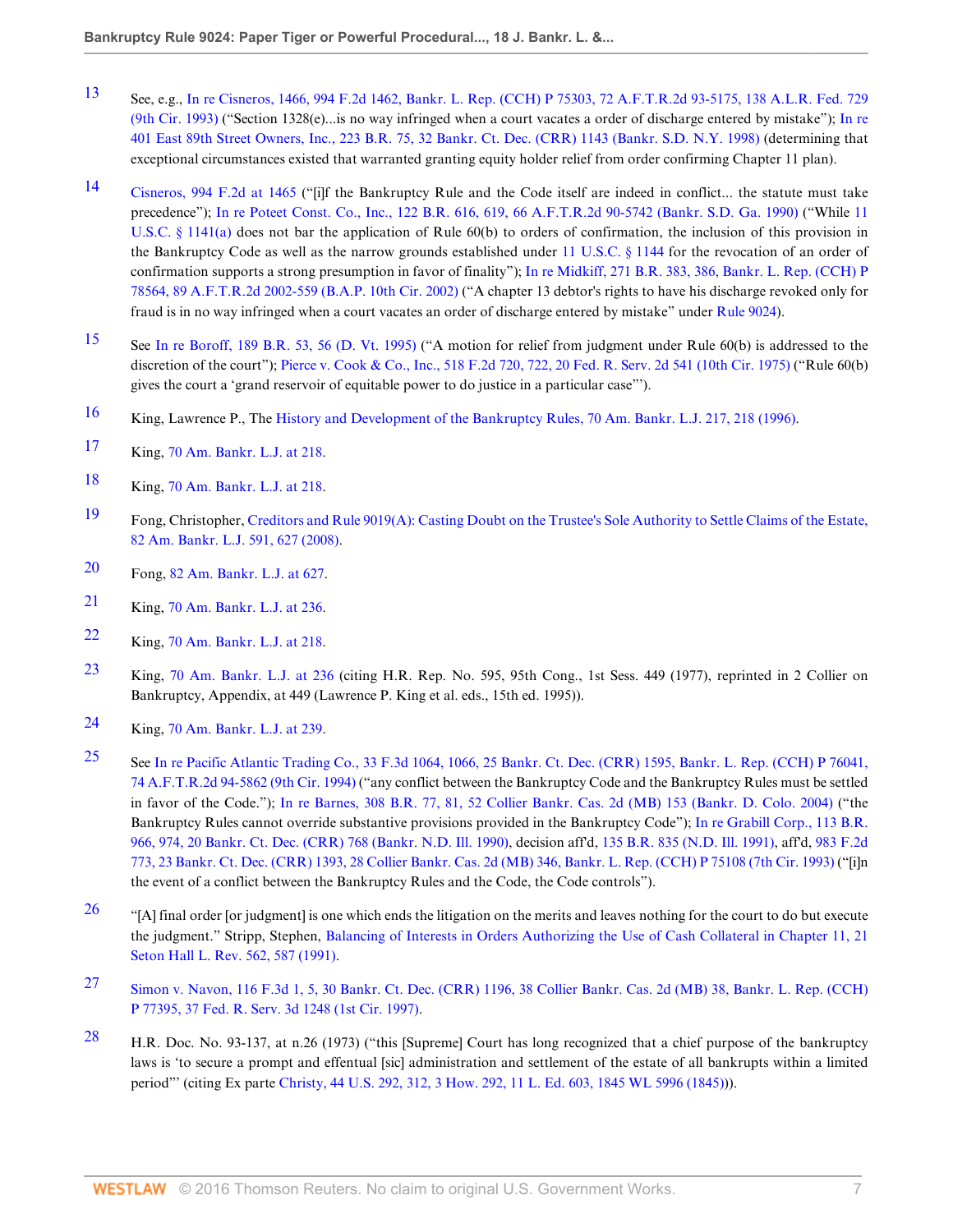- <span id="page-6-0"></span>[13](#page-0-12) See, e.g., [In re Cisneros, 1466, 994 F.2d 1462, Bankr. L. Rep. \(CCH\) P 75303, 72 A.F.T.R.2d 93-5175, 138 A.L.R. Fed. 729](http://www.westlaw.com/Link/Document/FullText?findType=Y&serNum=1993118251&pubNum=106&originatingDoc=I039ae34c4e9111de9b8c850332338889&refType=RP&originationContext=document&vr=3.0&rs=cblt1.0&transitionType=DocumentItem&contextData=(sc.Search)) [\(9th Cir. 1993\)](http://www.westlaw.com/Link/Document/FullText?findType=Y&serNum=1993118251&pubNum=106&originatingDoc=I039ae34c4e9111de9b8c850332338889&refType=RP&originationContext=document&vr=3.0&rs=cblt1.0&transitionType=DocumentItem&contextData=(sc.Search)) ("Section 1328(e)...is no way infringed when a court vacates a order of discharge entered by mistake"); [In re](http://www.westlaw.com/Link/Document/FullText?findType=Y&serNum=1998155877&pubNum=164&originatingDoc=I039ae34c4e9111de9b8c850332338889&refType=RP&originationContext=document&vr=3.0&rs=cblt1.0&transitionType=DocumentItem&contextData=(sc.Search)) [401 East 89th Street Owners, Inc., 223 B.R. 75, 32 Bankr. Ct. Dec. \(CRR\) 1143 \(Bankr. S.D. N.Y. 1998\)](http://www.westlaw.com/Link/Document/FullText?findType=Y&serNum=1998155877&pubNum=164&originatingDoc=I039ae34c4e9111de9b8c850332338889&refType=RP&originationContext=document&vr=3.0&rs=cblt1.0&transitionType=DocumentItem&contextData=(sc.Search)) (determining that exceptional circumstances existed that warranted granting equity holder relief from order confirming Chapter 11 plan).
- <span id="page-6-1"></span>[14](#page-0-13) [Cisneros, 994 F.2d at 1465](http://www.westlaw.com/Link/Document/FullText?findType=Y&serNum=1993118251&pubNum=350&originatingDoc=I039ae34c4e9111de9b8c850332338889&refType=RP&fi=co_pp_sp_350_1465&originationContext=document&vr=3.0&rs=cblt1.0&transitionType=DocumentItem&contextData=(sc.Search)#co_pp_sp_350_1465) ("[i]f the Bankruptcy Rule and the Code itself are indeed in conflict... the statute must take precedence"); [In re Poteet Const. Co., Inc., 122 B.R. 616, 619, 66 A.F.T.R.2d 90-5742 \(Bankr. S.D. Ga. 1990\)](http://www.westlaw.com/Link/Document/FullText?findType=Y&serNum=1991015933&pubNum=164&originatingDoc=I039ae34c4e9111de9b8c850332338889&refType=RP&fi=co_pp_sp_164_619&originationContext=document&vr=3.0&rs=cblt1.0&transitionType=DocumentItem&contextData=(sc.Search)#co_pp_sp_164_619) ("While [11](http://www.westlaw.com/Link/Document/FullText?findType=L&pubNum=1000546&cite=11USCAS1141&originatingDoc=I039ae34c4e9111de9b8c850332338889&refType=RB&originationContext=document&vr=3.0&rs=cblt1.0&transitionType=DocumentItem&contextData=(sc.Search)#co_pp_8b3b0000958a4) [U.S.C. § 1141\(a\)](http://www.westlaw.com/Link/Document/FullText?findType=L&pubNum=1000546&cite=11USCAS1141&originatingDoc=I039ae34c4e9111de9b8c850332338889&refType=RB&originationContext=document&vr=3.0&rs=cblt1.0&transitionType=DocumentItem&contextData=(sc.Search)#co_pp_8b3b0000958a4) does not bar the application of Rule 60(b) to orders of confirmation, the inclusion of this provision in the Bankruptcy Code as well as the narrow grounds established under [11 U.S.C. § 1144](http://www.westlaw.com/Link/Document/FullText?findType=L&pubNum=1000546&cite=11USCAS1144&originatingDoc=I039ae34c4e9111de9b8c850332338889&refType=LQ&originationContext=document&vr=3.0&rs=cblt1.0&transitionType=DocumentItem&contextData=(sc.Search)) for the revocation of an order of confirmation supports a strong presumption in favor of finality"); [In re Midkiff, 271 B.R. 383, 386, Bankr. L. Rep. \(CCH\) P](http://www.westlaw.com/Link/Document/FullText?findType=Y&serNum=2002042161&pubNum=164&originatingDoc=I039ae34c4e9111de9b8c850332338889&refType=RP&fi=co_pp_sp_164_386&originationContext=document&vr=3.0&rs=cblt1.0&transitionType=DocumentItem&contextData=(sc.Search)#co_pp_sp_164_386) [78564, 89 A.F.T.R.2d 2002-559 \(B.A.P. 10th Cir. 2002\)](http://www.westlaw.com/Link/Document/FullText?findType=Y&serNum=2002042161&pubNum=164&originatingDoc=I039ae34c4e9111de9b8c850332338889&refType=RP&fi=co_pp_sp_164_386&originationContext=document&vr=3.0&rs=cblt1.0&transitionType=DocumentItem&contextData=(sc.Search)#co_pp_sp_164_386) ("A chapter 13 debtor's rights to have his discharge revoked only for fraud is in no way infringed when a court vacates an order of discharge entered by mistake" under [Rule 9024](http://www.westlaw.com/Link/Document/FullText?findType=L&pubNum=1004365&cite=USFRBPR9024&originatingDoc=I039ae34c4e9111de9b8c850332338889&refType=LQ&originationContext=document&vr=3.0&rs=cblt1.0&transitionType=DocumentItem&contextData=(sc.Search))).
- <span id="page-6-2"></span>[15](#page-0-14) See [In re Boroff, 189 B.R. 53, 56 \(D. Vt. 1995\)](http://www.westlaw.com/Link/Document/FullText?findType=Y&serNum=1995242125&pubNum=164&originatingDoc=I039ae34c4e9111de9b8c850332338889&refType=RP&fi=co_pp_sp_164_56&originationContext=document&vr=3.0&rs=cblt1.0&transitionType=DocumentItem&contextData=(sc.Search)#co_pp_sp_164_56) ("A motion for relief from judgment under Rule 60(b) is addressed to the discretion of the court"); [Pierce v. Cook & Co., Inc., 518 F.2d 720, 722, 20 Fed. R. Serv. 2d 541 \(10th Cir. 1975\)](http://www.westlaw.com/Link/Document/FullText?findType=Y&serNum=1975111442&pubNum=350&originatingDoc=I039ae34c4e9111de9b8c850332338889&refType=RP&fi=co_pp_sp_350_722&originationContext=document&vr=3.0&rs=cblt1.0&transitionType=DocumentItem&contextData=(sc.Search)#co_pp_sp_350_722) ("Rule 60(b) gives the court a 'grand reservoir of equitable power to do justice in a particular case"').
- <span id="page-6-3"></span>[16](#page-1-0) King, Lawrence P., The [History and Development of the Bankruptcy Rules, 70 Am. Bankr. L.J. 217, 218 \(1996\)](http://www.westlaw.com/Link/Document/FullText?findType=Y&serNum=0106934123&pubNum=1432&originatingDoc=I039ae34c4e9111de9b8c850332338889&refType=LR&fi=co_pp_sp_1432_218&originationContext=document&vr=3.0&rs=cblt1.0&transitionType=DocumentItem&contextData=(sc.Search)#co_pp_sp_1432_218).
- <span id="page-6-4"></span>[17](#page-1-1) King, [70 Am. Bankr. L.J. at 218](http://www.westlaw.com/Link/Document/FullText?findType=Y&serNum=0106934123&pubNum=1432&originatingDoc=I039ae34c4e9111de9b8c850332338889&refType=LR&fi=co_pp_sp_1432_218&originationContext=document&vr=3.0&rs=cblt1.0&transitionType=DocumentItem&contextData=(sc.Search)#co_pp_sp_1432_218).
- <span id="page-6-5"></span>[18](#page-1-2) King, [70 Am. Bankr. L.J. at 218](http://www.westlaw.com/Link/Document/FullText?findType=Y&serNum=0106934123&pubNum=1432&originatingDoc=I039ae34c4e9111de9b8c850332338889&refType=LR&fi=co_pp_sp_1432_218&originationContext=document&vr=3.0&rs=cblt1.0&transitionType=DocumentItem&contextData=(sc.Search)#co_pp_sp_1432_218).
- <span id="page-6-6"></span>[19](#page-1-3) Fong, Christopher, [Creditors and Rule 9019\(A\): Casting Doubt on the Trustee's Sole Authority to Settle Claims of the Estate,](http://www.westlaw.com/Link/Document/FullText?findType=Y&serNum=0342507445&pubNum=1432&originatingDoc=I039ae34c4e9111de9b8c850332338889&refType=LR&fi=co_pp_sp_1432_627&originationContext=document&vr=3.0&rs=cblt1.0&transitionType=DocumentItem&contextData=(sc.Search)#co_pp_sp_1432_627) [82 Am. Bankr. L.J. 591, 627 \(2008\).](http://www.westlaw.com/Link/Document/FullText?findType=Y&serNum=0342507445&pubNum=1432&originatingDoc=I039ae34c4e9111de9b8c850332338889&refType=LR&fi=co_pp_sp_1432_627&originationContext=document&vr=3.0&rs=cblt1.0&transitionType=DocumentItem&contextData=(sc.Search)#co_pp_sp_1432_627)
- <span id="page-6-7"></span>[20](#page-1-4) Fong, [82 Am. Bankr. L.J. at 627](http://www.westlaw.com/Link/Document/FullText?findType=Y&serNum=0342507445&pubNum=1432&originatingDoc=I039ae34c4e9111de9b8c850332338889&refType=LR&fi=co_pp_sp_1432_627&originationContext=document&vr=3.0&rs=cblt1.0&transitionType=DocumentItem&contextData=(sc.Search)#co_pp_sp_1432_627).
- <span id="page-6-8"></span>[21](#page-1-5) King, [70 Am. Bankr. L.J. at 236](http://www.westlaw.com/Link/Document/FullText?findType=Y&serNum=0106934123&pubNum=1432&originatingDoc=I039ae34c4e9111de9b8c850332338889&refType=LR&fi=co_pp_sp_1432_236&originationContext=document&vr=3.0&rs=cblt1.0&transitionType=DocumentItem&contextData=(sc.Search)#co_pp_sp_1432_236).
- <span id="page-6-9"></span>[22](#page-1-6) King, [70 Am. Bankr. L.J. at 218](http://www.westlaw.com/Link/Document/FullText?findType=Y&serNum=0106934123&pubNum=1432&originatingDoc=I039ae34c4e9111de9b8c850332338889&refType=LR&fi=co_pp_sp_1432_218&originationContext=document&vr=3.0&rs=cblt1.0&transitionType=DocumentItem&contextData=(sc.Search)#co_pp_sp_1432_218).
- <span id="page-6-10"></span>[23](#page-1-7) King, [70 Am. Bankr. L.J. at 236](http://www.westlaw.com/Link/Document/FullText?findType=Y&serNum=0106934123&pubNum=1432&originatingDoc=I039ae34c4e9111de9b8c850332338889&refType=LR&fi=co_pp_sp_1432_236&originationContext=document&vr=3.0&rs=cblt1.0&transitionType=DocumentItem&contextData=(sc.Search)#co_pp_sp_1432_236) (citing H.R. Rep. No. 595, 95th Cong., 1st Sess. 449 (1977), reprinted in 2 Collier on Bankruptcy, Appendix, at 449 (Lawrence P. King et al. eds., 15th ed. 1995)).
- <span id="page-6-11"></span>[24](#page-1-8) King, [70 Am. Bankr. L.J. at 239](http://www.westlaw.com/Link/Document/FullText?findType=Y&serNum=0106934123&pubNum=1432&originatingDoc=I039ae34c4e9111de9b8c850332338889&refType=LR&fi=co_pp_sp_1432_239&originationContext=document&vr=3.0&rs=cblt1.0&transitionType=DocumentItem&contextData=(sc.Search)#co_pp_sp_1432_239).
- <span id="page-6-12"></span>[25](#page-1-9) See [In re Pacific Atlantic Trading Co., 33 F.3d 1064, 1066, 25 Bankr. Ct. Dec. \(CRR\) 1595, Bankr. L. Rep. \(CCH\) P 76041,](http://www.westlaw.com/Link/Document/FullText?findType=Y&serNum=1994171564&pubNum=506&originatingDoc=I039ae34c4e9111de9b8c850332338889&refType=RP&fi=co_pp_sp_506_1066&originationContext=document&vr=3.0&rs=cblt1.0&transitionType=DocumentItem&contextData=(sc.Search)#co_pp_sp_506_1066) [74 A.F.T.R.2d 94-5862 \(9th Cir. 1994\)](http://www.westlaw.com/Link/Document/FullText?findType=Y&serNum=1994171564&pubNum=506&originatingDoc=I039ae34c4e9111de9b8c850332338889&refType=RP&fi=co_pp_sp_506_1066&originationContext=document&vr=3.0&rs=cblt1.0&transitionType=DocumentItem&contextData=(sc.Search)#co_pp_sp_506_1066) ("any conflict between the Bankruptcy Code and the Bankruptcy Rules must be settled in favor of the Code."); [In re Barnes, 308 B.R. 77, 81, 52 Collier Bankr. Cas. 2d \(MB\) 153 \(Bankr. D. Colo. 2004\)](http://www.westlaw.com/Link/Document/FullText?findType=Y&serNum=2004304599&pubNum=164&originatingDoc=I039ae34c4e9111de9b8c850332338889&refType=RP&fi=co_pp_sp_164_81&originationContext=document&vr=3.0&rs=cblt1.0&transitionType=DocumentItem&contextData=(sc.Search)#co_pp_sp_164_81) ("the Bankruptcy Rules cannot override substantive provisions provided in the Bankruptcy Code"); [In re Grabill Corp., 113 B.R.](http://www.westlaw.com/Link/Document/FullText?findType=Y&serNum=1990074218&pubNum=164&originatingDoc=I039ae34c4e9111de9b8c850332338889&refType=RP&fi=co_pp_sp_164_974&originationContext=document&vr=3.0&rs=cblt1.0&transitionType=DocumentItem&contextData=(sc.Search)#co_pp_sp_164_974) [966, 974, 20 Bankr. Ct. Dec. \(CRR\) 768 \(Bankr. N.D. Ill. 1990\),](http://www.westlaw.com/Link/Document/FullText?findType=Y&serNum=1990074218&pubNum=164&originatingDoc=I039ae34c4e9111de9b8c850332338889&refType=RP&fi=co_pp_sp_164_974&originationContext=document&vr=3.0&rs=cblt1.0&transitionType=DocumentItem&contextData=(sc.Search)#co_pp_sp_164_974) decision aff'd, [135 B.R. 835 \(N.D. Ill. 1991\),](http://www.westlaw.com/Link/Document/FullText?findType=Y&serNum=1992020741&pubNum=164&originatingDoc=I039ae34c4e9111de9b8c850332338889&refType=RP&originationContext=document&vr=3.0&rs=cblt1.0&transitionType=DocumentItem&contextData=(sc.Search)) aff'd, [983 F.2d](http://www.westlaw.com/Link/Document/FullText?findType=Y&serNum=1993019975&pubNum=350&originatingDoc=I039ae34c4e9111de9b8c850332338889&refType=RP&originationContext=document&vr=3.0&rs=cblt1.0&transitionType=DocumentItem&contextData=(sc.Search)) [773, 23 Bankr. Ct. Dec. \(CRR\) 1393, 28 Collier Bankr. Cas. 2d \(MB\) 346, Bankr. L. Rep. \(CCH\) P 75108 \(7th Cir. 1993\)](http://www.westlaw.com/Link/Document/FullText?findType=Y&serNum=1993019975&pubNum=350&originatingDoc=I039ae34c4e9111de9b8c850332338889&refType=RP&originationContext=document&vr=3.0&rs=cblt1.0&transitionType=DocumentItem&contextData=(sc.Search)) ("[i]n the event of a conflict between the Bankruptcy Rules and the Code, the Code controls").
- <span id="page-6-13"></span> $26$  "[A] final order [or judgment] is one which ends the litigation on the merits and leaves nothing for the court to do but execute the judgment." Stripp, Stephen, [Balancing of Interests in Orders Authorizing the Use of Cash Collateral in Chapter 11, 21](http://www.westlaw.com/Link/Document/FullText?findType=Y&serNum=0100961614&pubNum=1234&originatingDoc=I039ae34c4e9111de9b8c850332338889&refType=LR&fi=co_pp_sp_1234_587&originationContext=document&vr=3.0&rs=cblt1.0&transitionType=DocumentItem&contextData=(sc.Search)#co_pp_sp_1234_587) [Seton Hall L. Rev. 562, 587 \(1991\).](http://www.westlaw.com/Link/Document/FullText?findType=Y&serNum=0100961614&pubNum=1234&originatingDoc=I039ae34c4e9111de9b8c850332338889&refType=LR&fi=co_pp_sp_1234_587&originationContext=document&vr=3.0&rs=cblt1.0&transitionType=DocumentItem&contextData=(sc.Search)#co_pp_sp_1234_587)
- <span id="page-6-14"></span>[27](#page-1-11) [Simon v. Navon, 116 F.3d 1, 5, 30 Bankr. Ct. Dec. \(CRR\) 1196, 38 Collier Bankr. Cas. 2d \(MB\) 38, Bankr. L. Rep. \(CCH\)](http://www.westlaw.com/Link/Document/FullText?findType=Y&serNum=1997117308&pubNum=506&originatingDoc=I039ae34c4e9111de9b8c850332338889&refType=RP&fi=co_pp_sp_506_5&originationContext=document&vr=3.0&rs=cblt1.0&transitionType=DocumentItem&contextData=(sc.Search)#co_pp_sp_506_5) [P 77395, 37 Fed. R. Serv. 3d 1248 \(1st Cir. 1997\)](http://www.westlaw.com/Link/Document/FullText?findType=Y&serNum=1997117308&pubNum=506&originatingDoc=I039ae34c4e9111de9b8c850332338889&refType=RP&fi=co_pp_sp_506_5&originationContext=document&vr=3.0&rs=cblt1.0&transitionType=DocumentItem&contextData=(sc.Search)#co_pp_sp_506_5).
- <span id="page-6-15"></span>[28](#page-1-12) H.R. Doc. No. 93-137, at n.26 (1973) ("this [Supreme] Court has long recognized that a chief purpose of the bankruptcy laws is 'to secure a prompt and effentual [sic] administration and settlement of the estate of all bankrupts within a limited period"' (citing Ex parte [Christy, 44 U.S. 292, 312, 3 How. 292, 11 L. Ed. 603, 1845 WL 5996 \(1845\)](http://www.westlaw.com/Link/Document/FullText?findType=Y&serNum=1800102592&pubNum=780&originatingDoc=I039ae34c4e9111de9b8c850332338889&refType=RP&fi=co_pp_sp_780_312&originationContext=document&vr=3.0&rs=cblt1.0&transitionType=DocumentItem&contextData=(sc.Search)#co_pp_sp_780_312))).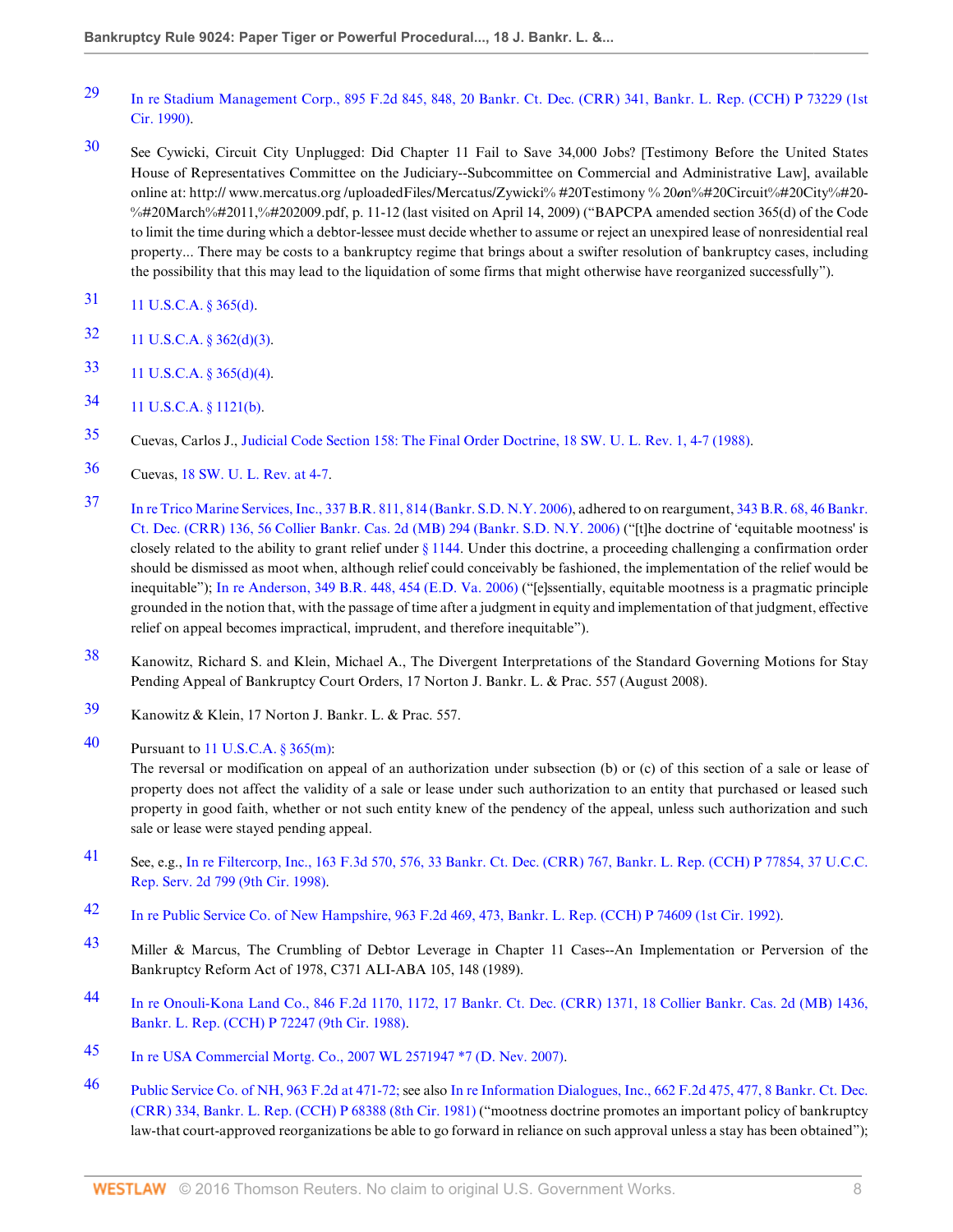- <span id="page-7-0"></span>[29](#page-1-13) [In re Stadium Management Corp., 895 F.2d 845, 848, 20 Bankr. Ct. Dec. \(CRR\) 341, Bankr. L. Rep. \(CCH\) P 73229 \(1st](http://www.westlaw.com/Link/Document/FullText?findType=Y&serNum=1990033232&pubNum=350&originatingDoc=I039ae34c4e9111de9b8c850332338889&refType=RP&fi=co_pp_sp_350_848&originationContext=document&vr=3.0&rs=cblt1.0&transitionType=DocumentItem&contextData=(sc.Search)#co_pp_sp_350_848) [Cir. 1990\)](http://www.westlaw.com/Link/Document/FullText?findType=Y&serNum=1990033232&pubNum=350&originatingDoc=I039ae34c4e9111de9b8c850332338889&refType=RP&fi=co_pp_sp_350_848&originationContext=document&vr=3.0&rs=cblt1.0&transitionType=DocumentItem&contextData=(sc.Search)#co_pp_sp_350_848).
- <span id="page-7-1"></span>[30](#page-1-14) See Cywicki, Circuit City Unplugged: Did Chapter 11 Fail to Save 34,000 Jobs? [Testimony Before the United States House of Representatives Committee on the Judiciary--Subcommittee on Commercial and Administrative Law], available online at: http:// www.mercatus.org/uploadedFiles/Mercatus/Zywicki% #20Testimony % 20*on*%#20Circuit%#20City%#20-%#20March%#2011,%#202009.pdf, p. 11-12 (last visited on April 14, 2009) ("BAPCPA amended section 365(d) of the Code to limit the time during which a debtor-lessee must decide whether to assume or reject an unexpired lease of nonresidential real property... There may be costs to a bankruptcy regime that brings about a swifter resolution of bankruptcy cases, including the possibility that this may lead to the liquidation of some firms that might otherwise have reorganized successfully").
- <span id="page-7-2"></span>[31](#page-1-15) [11 U.S.C.A. § 365\(d\)](http://www.westlaw.com/Link/Document/FullText?findType=L&pubNum=1000546&cite=11USCAS365&originatingDoc=I039ae34c4e9111de9b8c850332338889&refType=RB&originationContext=document&vr=3.0&rs=cblt1.0&transitionType=DocumentItem&contextData=(sc.Search)#co_pp_5ba1000067d06).
- <span id="page-7-3"></span>[32](#page-1-16) [11 U.S.C.A. § 362\(d\)\(3\).](http://www.westlaw.com/Link/Document/FullText?findType=L&pubNum=1000546&cite=11USCAS362&originatingDoc=I039ae34c4e9111de9b8c850332338889&refType=RB&originationContext=document&vr=3.0&rs=cblt1.0&transitionType=DocumentItem&contextData=(sc.Search)#co_pp_17df000040924)
- <span id="page-7-4"></span>[33](#page-2-0) [11 U.S.C.A. § 365\(d\)\(4\).](http://www.westlaw.com/Link/Document/FullText?findType=L&pubNum=1000546&cite=11USCAS365&originatingDoc=I039ae34c4e9111de9b8c850332338889&refType=RB&originationContext=document&vr=3.0&rs=cblt1.0&transitionType=DocumentItem&contextData=(sc.Search)#co_pp_20c3000034ad5)
- <span id="page-7-5"></span>[34](#page-2-1) [11 U.S.C.A. § 1121\(b\).](http://www.westlaw.com/Link/Document/FullText?findType=L&pubNum=1000546&cite=11USCAS1121&originatingDoc=I039ae34c4e9111de9b8c850332338889&refType=RB&originationContext=document&vr=3.0&rs=cblt1.0&transitionType=DocumentItem&contextData=(sc.Search)#co_pp_a83b000018c76)
- <span id="page-7-6"></span>[35](#page-2-2) Cuevas, Carlos J., [Judicial Code Section 158: The Final Order Doctrine, 18 SW. U. L. Rev. 1, 4-7 \(1988\)](http://www.westlaw.com/Link/Document/FullText?findType=Y&serNum=0102677835&pubNum=1244&originatingDoc=I039ae34c4e9111de9b8c850332338889&refType=LR&fi=co_pp_sp_1244_4&originationContext=document&vr=3.0&rs=cblt1.0&transitionType=DocumentItem&contextData=(sc.Search)#co_pp_sp_1244_4).
- <span id="page-7-7"></span>[36](#page-2-3) Cuevas, [18 SW. U. L. Rev. at 4-7.](http://www.westlaw.com/Link/Document/FullText?findType=Y&serNum=0102677835&pubNum=1244&originatingDoc=I039ae34c4e9111de9b8c850332338889&refType=LR&fi=co_pp_sp_1244_4&originationContext=document&vr=3.0&rs=cblt1.0&transitionType=DocumentItem&contextData=(sc.Search)#co_pp_sp_1244_4)
- <span id="page-7-8"></span>[37](#page-2-4) [In re Trico Marine Services, Inc., 337 B.R. 811, 814 \(Bankr. S.D. N.Y. 2006\),](http://www.westlaw.com/Link/Document/FullText?findType=Y&serNum=2008408780&pubNum=164&originatingDoc=I039ae34c4e9111de9b8c850332338889&refType=RP&fi=co_pp_sp_164_814&originationContext=document&vr=3.0&rs=cblt1.0&transitionType=DocumentItem&contextData=(sc.Search)#co_pp_sp_164_814) adhered to on reargument, [343 B.R. 68, 46 Bankr.](http://www.westlaw.com/Link/Document/FullText?findType=Y&serNum=2009105496&pubNum=164&originatingDoc=I039ae34c4e9111de9b8c850332338889&refType=RP&originationContext=document&vr=3.0&rs=cblt1.0&transitionType=DocumentItem&contextData=(sc.Search)) [Ct. Dec. \(CRR\) 136, 56 Collier Bankr. Cas. 2d \(MB\) 294 \(Bankr. S.D. N.Y. 2006\)](http://www.westlaw.com/Link/Document/FullText?findType=Y&serNum=2009105496&pubNum=164&originatingDoc=I039ae34c4e9111de9b8c850332338889&refType=RP&originationContext=document&vr=3.0&rs=cblt1.0&transitionType=DocumentItem&contextData=(sc.Search)) ("[t]he doctrine of 'equitable mootness' is closely related to the ability to grant relief under [§ 1144.](http://www.westlaw.com/Link/Document/FullText?findType=L&pubNum=1000546&cite=11USCAS1144&originatingDoc=I039ae34c4e9111de9b8c850332338889&refType=LQ&originationContext=document&vr=3.0&rs=cblt1.0&transitionType=DocumentItem&contextData=(sc.Search)) Under this doctrine, a proceeding challenging a confirmation order should be dismissed as moot when, although relief could conceivably be fashioned, the implementation of the relief would be inequitable"); [In re Anderson, 349 B.R. 448, 454 \(E.D. Va. 2006\)](http://www.westlaw.com/Link/Document/FullText?findType=Y&serNum=2010219904&pubNum=164&originatingDoc=I039ae34c4e9111de9b8c850332338889&refType=RP&fi=co_pp_sp_164_454&originationContext=document&vr=3.0&rs=cblt1.0&transitionType=DocumentItem&contextData=(sc.Search)#co_pp_sp_164_454) ("[e]ssentially, equitable mootness is a pragmatic principle grounded in the notion that, with the passage of time after a judgment in equity and implementation of that judgment, effective relief on appeal becomes impractical, imprudent, and therefore inequitable").
- <span id="page-7-9"></span>[38](#page-2-5) Kanowitz, Richard S. and Klein, Michael A., The Divergent Interpretations of the Standard Governing Motions for Stay Pending Appeal of Bankruptcy Court Orders, 17 Norton J. Bankr. L. & Prac. 557 (August 2008).
- <span id="page-7-10"></span>[39](#page-2-6) Kanowitz & Klein, 17 Norton J. Bankr. L. & Prac. 557.
- <span id="page-7-11"></span>[40](#page-2-7) Pursuant to [11 U.S.C.A. § 365\(m\):](http://www.westlaw.com/Link/Document/FullText?findType=L&pubNum=1000546&cite=11USCAS365&originatingDoc=I039ae34c4e9111de9b8c850332338889&refType=RB&originationContext=document&vr=3.0&rs=cblt1.0&transitionType=DocumentItem&contextData=(sc.Search)#co_pp_ea62000089cc6)

The reversal or modification on appeal of an authorization under subsection (b) or (c) of this section of a sale or lease of property does not affect the validity of a sale or lease under such authorization to an entity that purchased or leased such property in good faith, whether or not such entity knew of the pendency of the appeal, unless such authorization and such sale or lease were stayed pending appeal.

- <span id="page-7-12"></span>[41](#page-2-8) See, e.g., [In re Filtercorp, Inc., 163 F.3d 570, 576, 33 Bankr. Ct. Dec. \(CRR\) 767, Bankr. L. Rep. \(CCH\) P 77854, 37 U.C.C.](http://www.westlaw.com/Link/Document/FullText?findType=Y&serNum=1998249656&pubNum=506&originatingDoc=I039ae34c4e9111de9b8c850332338889&refType=RP&fi=co_pp_sp_506_576&originationContext=document&vr=3.0&rs=cblt1.0&transitionType=DocumentItem&contextData=(sc.Search)#co_pp_sp_506_576) [Rep. Serv. 2d 799 \(9th Cir. 1998\)](http://www.westlaw.com/Link/Document/FullText?findType=Y&serNum=1998249656&pubNum=506&originatingDoc=I039ae34c4e9111de9b8c850332338889&refType=RP&fi=co_pp_sp_506_576&originationContext=document&vr=3.0&rs=cblt1.0&transitionType=DocumentItem&contextData=(sc.Search)#co_pp_sp_506_576).
- <span id="page-7-13"></span>[42](#page-2-9) [In re Public Service Co. of New Hampshire, 963 F.2d 469, 473, Bankr. L. Rep. \(CCH\) P 74609 \(1st Cir. 1992\)](http://www.westlaw.com/Link/Document/FullText?findType=Y&serNum=1992086610&pubNum=350&originatingDoc=I039ae34c4e9111de9b8c850332338889&refType=RP&fi=co_pp_sp_350_473&originationContext=document&vr=3.0&rs=cblt1.0&transitionType=DocumentItem&contextData=(sc.Search)#co_pp_sp_350_473).
- <span id="page-7-14"></span>[43](#page-2-10) Miller & Marcus, The Crumbling of Debtor Leverage in Chapter 11 Cases--An Implementation or Perversion of the Bankruptcy Reform Act of 1978, C371 ALI-ABA 105, 148 (1989).
- <span id="page-7-15"></span>[44](#page-2-11) [In re Onouli-Kona Land Co., 846 F.2d 1170, 1172, 17 Bankr. Ct. Dec. \(CRR\) 1371, 18 Collier Bankr. Cas. 2d \(MB\) 1436,](http://www.westlaw.com/Link/Document/FullText?findType=Y&serNum=1988065348&pubNum=350&originatingDoc=I039ae34c4e9111de9b8c850332338889&refType=RP&fi=co_pp_sp_350_1172&originationContext=document&vr=3.0&rs=cblt1.0&transitionType=DocumentItem&contextData=(sc.Search)#co_pp_sp_350_1172) [Bankr. L. Rep. \(CCH\) P 72247 \(9th Cir. 1988\).](http://www.westlaw.com/Link/Document/FullText?findType=Y&serNum=1988065348&pubNum=350&originatingDoc=I039ae34c4e9111de9b8c850332338889&refType=RP&fi=co_pp_sp_350_1172&originationContext=document&vr=3.0&rs=cblt1.0&transitionType=DocumentItem&contextData=(sc.Search)#co_pp_sp_350_1172)
- <span id="page-7-16"></span>[45](#page-2-12) [In re USA Commercial Mortg. Co., 2007 WL 2571947 \\*7 \(D. Nev. 2007\)](http://www.westlaw.com/Link/Document/FullText?findType=Y&serNum=2013138995&pubNum=0000999&originatingDoc=I039ae34c4e9111de9b8c850332338889&refType=RP&originationContext=document&vr=3.0&rs=cblt1.0&transitionType=DocumentItem&contextData=(sc.Search)).
- <span id="page-7-17"></span>[46](#page-2-13) [Public Service Co. of NH, 963 F.2d at 471-72;](http://www.westlaw.com/Link/Document/FullText?findType=Y&serNum=1992086610&pubNum=350&originatingDoc=I039ae34c4e9111de9b8c850332338889&refType=RP&fi=co_pp_sp_350_471&originationContext=document&vr=3.0&rs=cblt1.0&transitionType=DocumentItem&contextData=(sc.Search)#co_pp_sp_350_471) see also [In re Information Dialogues, Inc., 662 F.2d 475, 477, 8 Bankr. Ct. Dec.](http://www.westlaw.com/Link/Document/FullText?findType=Y&serNum=1981144464&pubNum=350&originatingDoc=I039ae34c4e9111de9b8c850332338889&refType=RP&fi=co_pp_sp_350_477&originationContext=document&vr=3.0&rs=cblt1.0&transitionType=DocumentItem&contextData=(sc.Search)#co_pp_sp_350_477) [\(CRR\) 334, Bankr. L. Rep. \(CCH\) P 68388 \(8th Cir. 1981\)](http://www.westlaw.com/Link/Document/FullText?findType=Y&serNum=1981144464&pubNum=350&originatingDoc=I039ae34c4e9111de9b8c850332338889&refType=RP&fi=co_pp_sp_350_477&originationContext=document&vr=3.0&rs=cblt1.0&transitionType=DocumentItem&contextData=(sc.Search)#co_pp_sp_350_477) ("mootness doctrine promotes an important policy of bankruptcy law-that court-approved reorganizations be able to go forward in reliance on such approval unless a stay has been obtained");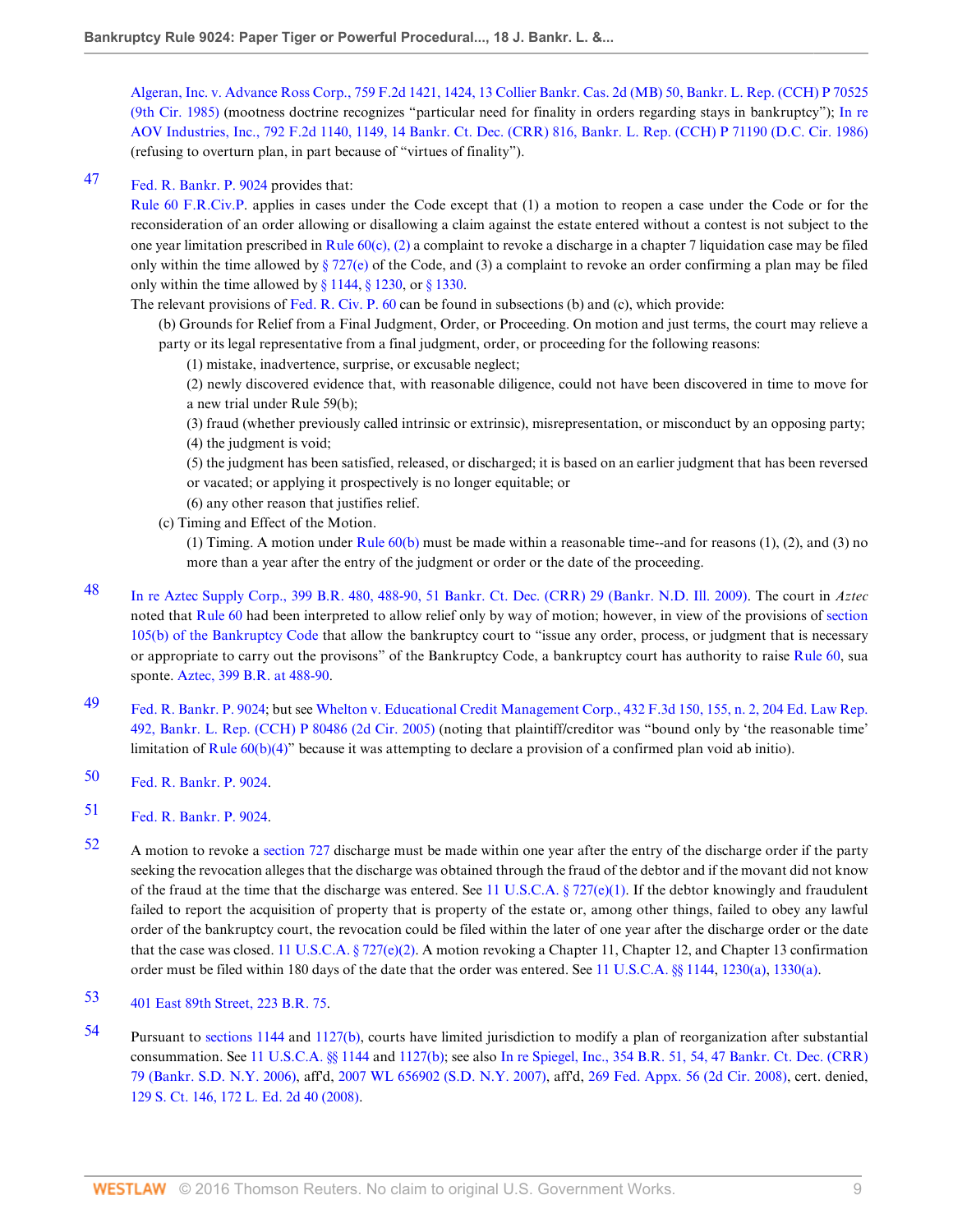[Algeran, Inc. v. Advance Ross Corp., 759 F.2d 1421, 1424, 13 Collier Bankr. Cas. 2d \(MB\) 50, Bankr. L. Rep. \(CCH\) P 70525](http://www.westlaw.com/Link/Document/FullText?findType=Y&serNum=1985123774&pubNum=350&originatingDoc=I039ae34c4e9111de9b8c850332338889&refType=RP&fi=co_pp_sp_350_1424&originationContext=document&vr=3.0&rs=cblt1.0&transitionType=DocumentItem&contextData=(sc.Search)#co_pp_sp_350_1424) [\(9th Cir. 1985\)](http://www.westlaw.com/Link/Document/FullText?findType=Y&serNum=1985123774&pubNum=350&originatingDoc=I039ae34c4e9111de9b8c850332338889&refType=RP&fi=co_pp_sp_350_1424&originationContext=document&vr=3.0&rs=cblt1.0&transitionType=DocumentItem&contextData=(sc.Search)#co_pp_sp_350_1424) (mootness doctrine recognizes "particular need for finality in orders regarding stays in bankruptcy"); [In re](http://www.westlaw.com/Link/Document/FullText?findType=Y&serNum=1986129811&pubNum=350&originatingDoc=I039ae34c4e9111de9b8c850332338889&refType=RP&fi=co_pp_sp_350_1149&originationContext=document&vr=3.0&rs=cblt1.0&transitionType=DocumentItem&contextData=(sc.Search)#co_pp_sp_350_1149) [AOV Industries, Inc., 792 F.2d 1140, 1149, 14 Bankr. Ct. Dec. \(CRR\) 816, Bankr. L. Rep. \(CCH\) P 71190 \(D.C. Cir. 1986\)](http://www.westlaw.com/Link/Document/FullText?findType=Y&serNum=1986129811&pubNum=350&originatingDoc=I039ae34c4e9111de9b8c850332338889&refType=RP&fi=co_pp_sp_350_1149&originationContext=document&vr=3.0&rs=cblt1.0&transitionType=DocumentItem&contextData=(sc.Search)#co_pp_sp_350_1149) (refusing to overturn plan, in part because of "virtues of finality").

<span id="page-8-0"></span>[47](#page-2-14) [Fed. R. Bankr. P. 9024](http://www.westlaw.com/Link/Document/FullText?findType=L&pubNum=1004365&cite=USFRBPR9024&originatingDoc=I039ae34c4e9111de9b8c850332338889&refType=LQ&originationContext=document&vr=3.0&rs=cblt1.0&transitionType=DocumentItem&contextData=(sc.Search)) provides that:

[Rule 60 F.R.Civ.P.](http://www.westlaw.com/Link/Document/FullText?findType=L&pubNum=1004365&cite=USFRCPR60&originatingDoc=I039ae34c4e9111de9b8c850332338889&refType=LQ&originationContext=document&vr=3.0&rs=cblt1.0&transitionType=DocumentItem&contextData=(sc.Search)) applies in cases under the Code except that (1) a motion to reopen a case under the Code or for the reconsideration of an order allowing or disallowing a claim against the estate entered without a contest is not subject to the one year limitation prescribed in Rule  $60(c)$ , (2) a complaint to revoke a discharge in a chapter 7 liquidation case may be filed only within the time allowed by  $\S 727(e)$  of the Code, and (3) a complaint to revoke an order confirming a plan may be filed only within the time allowed by [§ 1144](http://www.westlaw.com/Link/Document/FullText?findType=L&pubNum=1000546&cite=11USCAS1144&originatingDoc=I039ae34c4e9111de9b8c850332338889&refType=LQ&originationContext=document&vr=3.0&rs=cblt1.0&transitionType=DocumentItem&contextData=(sc.Search)), [§ 1230,](http://www.westlaw.com/Link/Document/FullText?findType=L&pubNum=1000546&cite=11USCAS1230&originatingDoc=I039ae34c4e9111de9b8c850332338889&refType=LQ&originationContext=document&vr=3.0&rs=cblt1.0&transitionType=DocumentItem&contextData=(sc.Search)) or [§ 1330.](http://www.westlaw.com/Link/Document/FullText?findType=L&pubNum=1000546&cite=11USCAS1330&originatingDoc=I039ae34c4e9111de9b8c850332338889&refType=LQ&originationContext=document&vr=3.0&rs=cblt1.0&transitionType=DocumentItem&contextData=(sc.Search))

The relevant provisions of [Fed. R. Civ. P. 60](http://www.westlaw.com/Link/Document/FullText?findType=L&pubNum=1004365&cite=USFRCPR60&originatingDoc=I039ae34c4e9111de9b8c850332338889&refType=LQ&originationContext=document&vr=3.0&rs=cblt1.0&transitionType=DocumentItem&contextData=(sc.Search)) can be found in subsections (b) and (c), which provide:

(b) Grounds for Relief from a Final Judgment, Order, or Proceeding. On motion and just terms, the court may relieve a party or its legal representative from a final judgment, order, or proceeding for the following reasons:

- (1) mistake, inadvertence, surprise, or excusable neglect;
- (2) newly discovered evidence that, with reasonable diligence, could not have been discovered in time to move for a new trial under Rule 59(b);
- (3) fraud (whether previously called intrinsic or extrinsic), misrepresentation, or misconduct by an opposing party; (4) the judgment is void;

(5) the judgment has been satisfied, released, or discharged; it is based on an earlier judgment that has been reversed or vacated; or applying it prospectively is no longer equitable; or

- (6) any other reason that justifies relief.
- (c) Timing and Effect of the Motion.

(1) Timing. A motion under Rule  $60(b)$  must be made within a reasonable time--and for reasons (1), (2), and (3) no more than a year after the entry of the judgment or order or the date of the proceeding.

- <span id="page-8-1"></span>[48](#page-2-15) [In re Aztec Supply Corp., 399 B.R. 480, 488-90, 51 Bankr. Ct. Dec. \(CRR\) 29 \(Bankr. N.D. Ill. 2009\)](http://www.westlaw.com/Link/Document/FullText?findType=Y&serNum=2017875920&pubNum=164&originatingDoc=I039ae34c4e9111de9b8c850332338889&refType=RP&fi=co_pp_sp_164_488&originationContext=document&vr=3.0&rs=cblt1.0&transitionType=DocumentItem&contextData=(sc.Search)#co_pp_sp_164_488). The court in *Aztec* noted that [Rule 60](http://www.westlaw.com/Link/Document/FullText?findType=L&pubNum=1004365&cite=USFRCPR60&originatingDoc=I039ae34c4e9111de9b8c850332338889&refType=LQ&originationContext=document&vr=3.0&rs=cblt1.0&transitionType=DocumentItem&contextData=(sc.Search)) had been interpreted to allow relief only by way of motion; however, in view of the provisions of [section](http://www.westlaw.com/Link/Document/FullText?findType=L&pubNum=1000546&cite=11USCAS105&originatingDoc=I039ae34c4e9111de9b8c850332338889&refType=LQ&originationContext=document&vr=3.0&rs=cblt1.0&transitionType=DocumentItem&contextData=(sc.Search)) [105\(b\) of the Bankruptcy Code](http://www.westlaw.com/Link/Document/FullText?findType=L&pubNum=1000546&cite=11USCAS105&originatingDoc=I039ae34c4e9111de9b8c850332338889&refType=LQ&originationContext=document&vr=3.0&rs=cblt1.0&transitionType=DocumentItem&contextData=(sc.Search)) that allow the bankruptcy court to "issue any order, process, or judgment that is necessary or appropriate to carry out the provisons" of the Bankruptcy Code, a bankruptcy court has authority to raise [Rule 60](http://www.westlaw.com/Link/Document/FullText?findType=L&pubNum=1004365&cite=USFRCPR60&originatingDoc=I039ae34c4e9111de9b8c850332338889&refType=LQ&originationContext=document&vr=3.0&rs=cblt1.0&transitionType=DocumentItem&contextData=(sc.Search)), sua sponte. [Aztec, 399 B.R. at 488-90.](http://www.westlaw.com/Link/Document/FullText?findType=Y&serNum=2017875920&pubNum=164&originatingDoc=I039ae34c4e9111de9b8c850332338889&refType=RP&fi=co_pp_sp_164_488&originationContext=document&vr=3.0&rs=cblt1.0&transitionType=DocumentItem&contextData=(sc.Search)#co_pp_sp_164_488)
- <span id="page-8-2"></span>[49](#page-2-16) [Fed. R. Bankr. P. 9024;](http://www.westlaw.com/Link/Document/FullText?findType=L&pubNum=1004365&cite=USFRBPR9024&originatingDoc=I039ae34c4e9111de9b8c850332338889&refType=LQ&originationContext=document&vr=3.0&rs=cblt1.0&transitionType=DocumentItem&contextData=(sc.Search)) but see [Whelton v. Educational Credit Management Corp., 432 F.3d 150, 155, n. 2, 204 Ed. Law Rep.](http://www.westlaw.com/Link/Document/FullText?findType=Y&serNum=2007899019&pubNum=960&originatingDoc=I039ae34c4e9111de9b8c850332338889&refType=RP&originationContext=document&vr=3.0&rs=cblt1.0&transitionType=DocumentItem&contextData=(sc.Search)) [492, Bankr. L. Rep. \(CCH\) P 80486 \(2d Cir. 2005\)](http://www.westlaw.com/Link/Document/FullText?findType=Y&serNum=2007899019&pubNum=960&originatingDoc=I039ae34c4e9111de9b8c850332338889&refType=RP&originationContext=document&vr=3.0&rs=cblt1.0&transitionType=DocumentItem&contextData=(sc.Search)) (noting that plaintiff/creditor was "bound only by 'the reasonable time' limitation of [Rule 60\(b\)\(4\)](http://www.westlaw.com/Link/Document/FullText?findType=L&pubNum=1004365&cite=USFRCPR60&originatingDoc=I039ae34c4e9111de9b8c850332338889&refType=LQ&originationContext=document&vr=3.0&rs=cblt1.0&transitionType=DocumentItem&contextData=(sc.Search))" because it was attempting to declare a provision of a confirmed plan void ab initio).
- <span id="page-8-3"></span>[50](#page-2-17) [Fed. R. Bankr. P. 9024.](http://www.westlaw.com/Link/Document/FullText?findType=L&pubNum=1004365&cite=USFRBPR9024&originatingDoc=I039ae34c4e9111de9b8c850332338889&refType=LQ&originationContext=document&vr=3.0&rs=cblt1.0&transitionType=DocumentItem&contextData=(sc.Search))
- <span id="page-8-4"></span>[51](#page-2-18) [Fed. R. Bankr. P. 9024.](http://www.westlaw.com/Link/Document/FullText?findType=L&pubNum=1004365&cite=USFRBPR9024&originatingDoc=I039ae34c4e9111de9b8c850332338889&refType=LQ&originationContext=document&vr=3.0&rs=cblt1.0&transitionType=DocumentItem&contextData=(sc.Search))
- <span id="page-8-5"></span>[52](#page-3-0) A motion to revoke a [section 727](http://www.westlaw.com/Link/Document/FullText?findType=L&pubNum=1000546&cite=11USCAS727&originatingDoc=I039ae34c4e9111de9b8c850332338889&refType=LQ&originationContext=document&vr=3.0&rs=cblt1.0&transitionType=DocumentItem&contextData=(sc.Search)) discharge must be made within one year after the entry of the discharge order if the party seeking the revocation alleges that the discharge was obtained through the fraud of the debtor and if the movant did not know of the fraud at the time that the discharge was entered. See [11 U.S.C.A. § 727\(e\)\(1\).](http://www.westlaw.com/Link/Document/FullText?findType=L&pubNum=1000546&cite=11USCAS727&originatingDoc=I039ae34c4e9111de9b8c850332338889&refType=RB&originationContext=document&vr=3.0&rs=cblt1.0&transitionType=DocumentItem&contextData=(sc.Search)#co_pp_06a60000dfdc6) If the debtor knowingly and fraudulent failed to report the acquisition of property that is property of the estate or, among other things, failed to obey any lawful order of the bankruptcy court, the revocation could be filed within the later of one year after the discharge order or the date that the case was closed. [11 U.S.C.A. § 727\(e\)\(2\).](http://www.westlaw.com/Link/Document/FullText?findType=L&pubNum=1000546&cite=11USCAS727&originatingDoc=I039ae34c4e9111de9b8c850332338889&refType=RB&originationContext=document&vr=3.0&rs=cblt1.0&transitionType=DocumentItem&contextData=(sc.Search)#co_pp_1184000067914) A motion revoking a Chapter 11, Chapter 12, and Chapter 13 confirmation order must be filed within 180 days of the date that the order was entered. See [11 U.S.C.A. §§ 1144](http://www.westlaw.com/Link/Document/FullText?findType=L&pubNum=1000546&cite=11USCAS1144&originatingDoc=I039ae34c4e9111de9b8c850332338889&refType=LQ&originationContext=document&vr=3.0&rs=cblt1.0&transitionType=DocumentItem&contextData=(sc.Search)), [1230\(a\)](http://www.westlaw.com/Link/Document/FullText?findType=L&pubNum=1000546&cite=11USCAS1230&originatingDoc=I039ae34c4e9111de9b8c850332338889&refType=RB&originationContext=document&vr=3.0&rs=cblt1.0&transitionType=DocumentItem&contextData=(sc.Search)#co_pp_8b3b0000958a4), [1330\(a\).](http://www.westlaw.com/Link/Document/FullText?findType=L&pubNum=1000546&cite=11USCAS1330&originatingDoc=I039ae34c4e9111de9b8c850332338889&refType=RB&originationContext=document&vr=3.0&rs=cblt1.0&transitionType=DocumentItem&contextData=(sc.Search)#co_pp_8b3b0000958a4)
- <span id="page-8-6"></span>[53](#page-3-1) [401 East 89th Street, 223 B.R. 75](http://www.westlaw.com/Link/Document/FullText?findType=Y&serNum=1998155877&pubNum=164&originatingDoc=I039ae34c4e9111de9b8c850332338889&refType=RP&originationContext=document&vr=3.0&rs=cblt1.0&transitionType=DocumentItem&contextData=(sc.Search)).
- <span id="page-8-7"></span>[54](#page-3-2) Pursuant to [sections 1144](http://www.westlaw.com/Link/Document/FullText?findType=L&pubNum=1000546&cite=11USCAS1144&originatingDoc=I039ae34c4e9111de9b8c850332338889&refType=LQ&originationContext=document&vr=3.0&rs=cblt1.0&transitionType=DocumentItem&contextData=(sc.Search)) and [1127\(b\),](http://www.westlaw.com/Link/Document/FullText?findType=L&pubNum=1000546&cite=11USCAS1127&originatingDoc=I039ae34c4e9111de9b8c850332338889&refType=RB&originationContext=document&vr=3.0&rs=cblt1.0&transitionType=DocumentItem&contextData=(sc.Search)#co_pp_a83b000018c76) courts have limited jurisdiction to modify a plan of reorganization after substantial consummation. See [11 U.S.C.A. §§ 1144](http://www.westlaw.com/Link/Document/FullText?findType=L&pubNum=1000546&cite=11USCAS1144&originatingDoc=I039ae34c4e9111de9b8c850332338889&refType=LQ&originationContext=document&vr=3.0&rs=cblt1.0&transitionType=DocumentItem&contextData=(sc.Search)) and [1127\(b\);](http://www.westlaw.com/Link/Document/FullText?findType=L&pubNum=1000546&cite=11USCAS1127&originatingDoc=I039ae34c4e9111de9b8c850332338889&refType=RB&originationContext=document&vr=3.0&rs=cblt1.0&transitionType=DocumentItem&contextData=(sc.Search)#co_pp_a83b000018c76) see also [In re Spiegel, Inc., 354 B.R. 51, 54, 47 Bankr. Ct. Dec. \(CRR\)](http://www.westlaw.com/Link/Document/FullText?findType=Y&serNum=2010569576&pubNum=164&originatingDoc=I039ae34c4e9111de9b8c850332338889&refType=RP&fi=co_pp_sp_164_54&originationContext=document&vr=3.0&rs=cblt1.0&transitionType=DocumentItem&contextData=(sc.Search)#co_pp_sp_164_54) [79 \(Bankr. S.D. N.Y. 2006\)](http://www.westlaw.com/Link/Document/FullText?findType=Y&serNum=2010569576&pubNum=164&originatingDoc=I039ae34c4e9111de9b8c850332338889&refType=RP&fi=co_pp_sp_164_54&originationContext=document&vr=3.0&rs=cblt1.0&transitionType=DocumentItem&contextData=(sc.Search)#co_pp_sp_164_54), aff'd, [2007 WL 656902 \(S.D. N.Y. 2007\),](http://www.westlaw.com/Link/Document/FullText?findType=Y&serNum=2011605644&pubNum=0000999&originatingDoc=I039ae34c4e9111de9b8c850332338889&refType=RP&originationContext=document&vr=3.0&rs=cblt1.0&transitionType=DocumentItem&contextData=(sc.Search)) aff'd, [269 Fed. Appx. 56 \(2d Cir. 2008\),](http://www.westlaw.com/Link/Document/FullText?findType=Y&serNum=2015494569&pubNum=6538&originatingDoc=I039ae34c4e9111de9b8c850332338889&refType=RP&originationContext=document&vr=3.0&rs=cblt1.0&transitionType=DocumentItem&contextData=(sc.Search)) cert. denied, [129 S. Ct. 146, 172 L. Ed. 2d 40 \(2008\).](http://www.westlaw.com/Link/Document/FullText?findType=Y&serNum=2016315926&pubNum=708&originatingDoc=I039ae34c4e9111de9b8c850332338889&refType=RP&originationContext=document&vr=3.0&rs=cblt1.0&transitionType=DocumentItem&contextData=(sc.Search))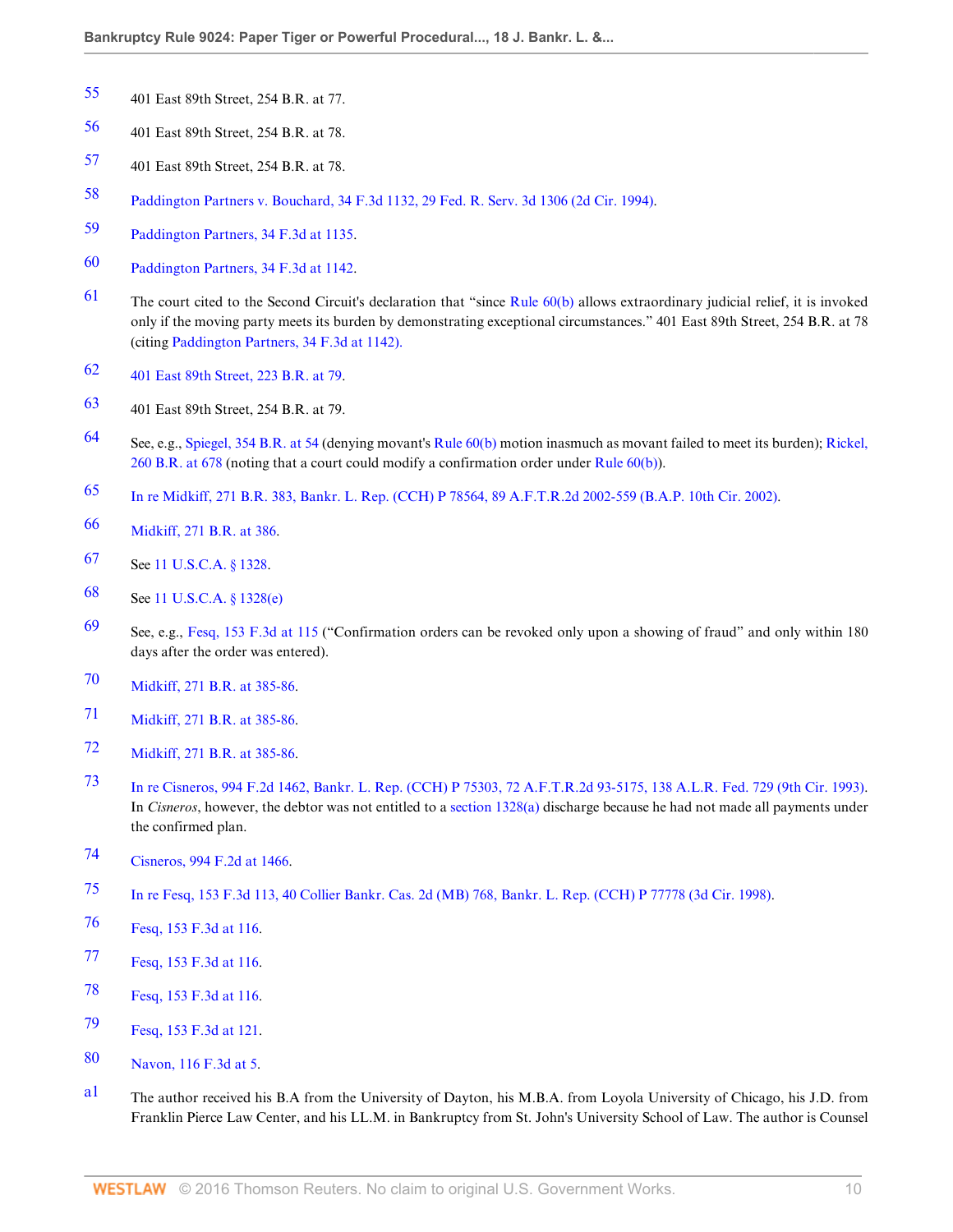- <span id="page-9-1"></span>401 East 89th Street, 254 B.R. at 77.
- <span id="page-9-2"></span>401 East 89th Street, 254 B.R. at 78.
- <span id="page-9-3"></span>401 East 89th Street, 254 B.R. at 78.
- <span id="page-9-4"></span>[Paddington Partners v. Bouchard, 34 F.3d 1132, 29 Fed. R. Serv. 3d 1306 \(2d Cir. 1994\).](http://www.westlaw.com/Link/Document/FullText?findType=Y&serNum=1994173830&pubNum=506&originatingDoc=I039ae34c4e9111de9b8c850332338889&refType=RP&originationContext=document&vr=3.0&rs=cblt1.0&transitionType=DocumentItem&contextData=(sc.Search))
- <span id="page-9-5"></span>[Paddington Partners, 34 F.3d at 1135](http://www.westlaw.com/Link/Document/FullText?findType=Y&serNum=1994173830&pubNum=506&originatingDoc=I039ae34c4e9111de9b8c850332338889&refType=RP&fi=co_pp_sp_506_1135&originationContext=document&vr=3.0&rs=cblt1.0&transitionType=DocumentItem&contextData=(sc.Search)#co_pp_sp_506_1135).
- <span id="page-9-6"></span>[Paddington Partners, 34 F.3d at 1142](http://www.westlaw.com/Link/Document/FullText?findType=Y&serNum=1994173830&pubNum=506&originatingDoc=I039ae34c4e9111de9b8c850332338889&refType=RP&fi=co_pp_sp_506_1142&originationContext=document&vr=3.0&rs=cblt1.0&transitionType=DocumentItem&contextData=(sc.Search)#co_pp_sp_506_1142).
- <span id="page-9-7"></span>[61](#page-3-9) The court cited to the Second Circuit's declaration that "since Rule  $60(b)$  allows extraordinary judicial relief, it is invoked only if the moving party meets its burden by demonstrating exceptional circumstances." 401 East 89th Street, 254 B.R. at 78 (citing [Paddington Partners, 34 F.3d at 1142\).](http://www.westlaw.com/Link/Document/FullText?findType=Y&serNum=1994173830&pubNum=506&originatingDoc=I039ae34c4e9111de9b8c850332338889&refType=RP&fi=co_pp_sp_506_1142&originationContext=document&vr=3.0&rs=cblt1.0&transitionType=DocumentItem&contextData=(sc.Search)#co_pp_sp_506_1142)
- <span id="page-9-8"></span>[401 East 89th Street, 223 B.R. at 79.](http://www.westlaw.com/Link/Document/FullText?findType=Y&serNum=1998155877&pubNum=164&originatingDoc=I039ae34c4e9111de9b8c850332338889&refType=RP&fi=co_pp_sp_164_79&originationContext=document&vr=3.0&rs=cblt1.0&transitionType=DocumentItem&contextData=(sc.Search)#co_pp_sp_164_79)
- <span id="page-9-9"></span>401 East 89th Street, 254 B.R. at 79.
- <span id="page-9-10"></span> See, e.g., [Spiegel, 354 B.R. at 54](http://www.westlaw.com/Link/Document/FullText?findType=Y&serNum=2010569576&pubNum=164&originatingDoc=I039ae34c4e9111de9b8c850332338889&refType=RP&fi=co_pp_sp_164_54&originationContext=document&vr=3.0&rs=cblt1.0&transitionType=DocumentItem&contextData=(sc.Search)#co_pp_sp_164_54) (denying movant's [Rule 60\(b\)](http://www.westlaw.com/Link/Document/FullText?findType=L&pubNum=1004365&cite=USFRCPR60&originatingDoc=I039ae34c4e9111de9b8c850332338889&refType=LQ&originationContext=document&vr=3.0&rs=cblt1.0&transitionType=DocumentItem&contextData=(sc.Search)) motion inasmuch as movant failed to meet its burden); [Rickel,](http://www.westlaw.com/Link/Document/FullText?findType=Y&serNum=2001305925&pubNum=164&originatingDoc=I039ae34c4e9111de9b8c850332338889&refType=RP&fi=co_pp_sp_164_678&originationContext=document&vr=3.0&rs=cblt1.0&transitionType=DocumentItem&contextData=(sc.Search)#co_pp_sp_164_678) [260 B.R. at 678](http://www.westlaw.com/Link/Document/FullText?findType=Y&serNum=2001305925&pubNum=164&originatingDoc=I039ae34c4e9111de9b8c850332338889&refType=RP&fi=co_pp_sp_164_678&originationContext=document&vr=3.0&rs=cblt1.0&transitionType=DocumentItem&contextData=(sc.Search)#co_pp_sp_164_678) (noting that a court could modify a confirmation order under [Rule 60\(b\)\)](http://www.westlaw.com/Link/Document/FullText?findType=L&pubNum=1004365&cite=USFRCPR60&originatingDoc=I039ae34c4e9111de9b8c850332338889&refType=LQ&originationContext=document&vr=3.0&rs=cblt1.0&transitionType=DocumentItem&contextData=(sc.Search)).
- <span id="page-9-11"></span>[In re Midkiff, 271 B.R. 383, Bankr. L. Rep. \(CCH\) P 78564, 89 A.F.T.R.2d 2002-559 \(B.A.P. 10th Cir. 2002\).](http://www.westlaw.com/Link/Document/FullText?findType=Y&serNum=2002042161&pubNum=164&originatingDoc=I039ae34c4e9111de9b8c850332338889&refType=RP&originationContext=document&vr=3.0&rs=cblt1.0&transitionType=DocumentItem&contextData=(sc.Search))
- <span id="page-9-12"></span>[Midkiff, 271 B.R. at 386](http://www.westlaw.com/Link/Document/FullText?findType=Y&serNum=2002042161&pubNum=164&originatingDoc=I039ae34c4e9111de9b8c850332338889&refType=RP&fi=co_pp_sp_164_386&originationContext=document&vr=3.0&rs=cblt1.0&transitionType=DocumentItem&contextData=(sc.Search)#co_pp_sp_164_386).
- <span id="page-9-13"></span>See [11 U.S.C.A. § 1328.](http://www.westlaw.com/Link/Document/FullText?findType=L&pubNum=1000546&cite=11USCAS1328&originatingDoc=I039ae34c4e9111de9b8c850332338889&refType=LQ&originationContext=document&vr=3.0&rs=cblt1.0&transitionType=DocumentItem&contextData=(sc.Search))
- <span id="page-9-14"></span>See [11 U.S.C.A. § 1328\(e\)](http://www.westlaw.com/Link/Document/FullText?findType=L&pubNum=1000546&cite=11USCAS1328&originatingDoc=I039ae34c4e9111de9b8c850332338889&refType=RB&originationContext=document&vr=3.0&rs=cblt1.0&transitionType=DocumentItem&contextData=(sc.Search)#co_pp_7fdd00001ca15)
- <span id="page-9-15"></span> See, e.g., [Fesq, 153 F.3d at 115](http://www.westlaw.com/Link/Document/FullText?findType=Y&serNum=1998173031&pubNum=506&originatingDoc=I039ae34c4e9111de9b8c850332338889&refType=RP&fi=co_pp_sp_506_115&originationContext=document&vr=3.0&rs=cblt1.0&transitionType=DocumentItem&contextData=(sc.Search)#co_pp_sp_506_115) ("Confirmation orders can be revoked only upon a showing of fraud" and only within 180 days after the order was entered).
- <span id="page-9-16"></span>[Midkiff, 271 B.R. at 385-86](http://www.westlaw.com/Link/Document/FullText?findType=Y&serNum=2002042161&pubNum=164&originatingDoc=I039ae34c4e9111de9b8c850332338889&refType=RP&fi=co_pp_sp_164_385&originationContext=document&vr=3.0&rs=cblt1.0&transitionType=DocumentItem&contextData=(sc.Search)#co_pp_sp_164_385).
- <span id="page-9-17"></span>[Midkiff, 271 B.R. at 385-86](http://www.westlaw.com/Link/Document/FullText?findType=Y&serNum=2002042161&pubNum=164&originatingDoc=I039ae34c4e9111de9b8c850332338889&refType=RP&fi=co_pp_sp_164_385&originationContext=document&vr=3.0&rs=cblt1.0&transitionType=DocumentItem&contextData=(sc.Search)#co_pp_sp_164_385).
- <span id="page-9-18"></span>[Midkiff, 271 B.R. at 385-86](http://www.westlaw.com/Link/Document/FullText?findType=Y&serNum=2002042161&pubNum=164&originatingDoc=I039ae34c4e9111de9b8c850332338889&refType=RP&fi=co_pp_sp_164_385&originationContext=document&vr=3.0&rs=cblt1.0&transitionType=DocumentItem&contextData=(sc.Search)#co_pp_sp_164_385).
- <span id="page-9-19"></span> [In re Cisneros, 994 F.2d 1462, Bankr. L. Rep. \(CCH\) P 75303, 72 A.F.T.R.2d 93-5175, 138 A.L.R. Fed. 729 \(9th Cir. 1993\).](http://www.westlaw.com/Link/Document/FullText?findType=Y&serNum=1993118251&pubNum=106&originatingDoc=I039ae34c4e9111de9b8c850332338889&refType=RP&originationContext=document&vr=3.0&rs=cblt1.0&transitionType=DocumentItem&contextData=(sc.Search)) In *Cisneros*, however, the debtor was not entitled to a [section 1328\(a\)](http://www.westlaw.com/Link/Document/FullText?findType=L&pubNum=1000546&cite=11USCAS1328&originatingDoc=I039ae34c4e9111de9b8c850332338889&refType=RB&originationContext=document&vr=3.0&rs=cblt1.0&transitionType=DocumentItem&contextData=(sc.Search)#co_pp_8b3b0000958a4) discharge because he had not made all payments under the confirmed plan.
- <span id="page-9-20"></span>[Cisneros, 994 F.2d at 1466.](http://www.westlaw.com/Link/Document/FullText?findType=Y&serNum=1993118251&pubNum=350&originatingDoc=I039ae34c4e9111de9b8c850332338889&refType=RP&fi=co_pp_sp_350_1466&originationContext=document&vr=3.0&rs=cblt1.0&transitionType=DocumentItem&contextData=(sc.Search)#co_pp_sp_350_1466)
- <span id="page-9-21"></span>[In re Fesq, 153 F.3d 113, 40 Collier Bankr. Cas. 2d \(MB\) 768, Bankr. L. Rep. \(CCH\) P 77778 \(3d Cir. 1998\).](http://www.westlaw.com/Link/Document/FullText?findType=Y&serNum=1998173031&pubNum=506&originatingDoc=I039ae34c4e9111de9b8c850332338889&refType=RP&originationContext=document&vr=3.0&rs=cblt1.0&transitionType=DocumentItem&contextData=(sc.Search))
- <span id="page-9-22"></span>[Fesq, 153 F.3d at 116](http://www.westlaw.com/Link/Document/FullText?findType=Y&serNum=1998173031&pubNum=506&originatingDoc=I039ae34c4e9111de9b8c850332338889&refType=RP&fi=co_pp_sp_506_116&originationContext=document&vr=3.0&rs=cblt1.0&transitionType=DocumentItem&contextData=(sc.Search)#co_pp_sp_506_116).
- <span id="page-9-23"></span>[Fesq, 153 F.3d at 116](http://www.westlaw.com/Link/Document/FullText?findType=Y&serNum=1998173031&pubNum=506&originatingDoc=I039ae34c4e9111de9b8c850332338889&refType=RP&fi=co_pp_sp_506_116&originationContext=document&vr=3.0&rs=cblt1.0&transitionType=DocumentItem&contextData=(sc.Search)#co_pp_sp_506_116).
- <span id="page-9-24"></span>[Fesq, 153 F.3d at 116](http://www.westlaw.com/Link/Document/FullText?findType=Y&serNum=1998173031&pubNum=506&originatingDoc=I039ae34c4e9111de9b8c850332338889&refType=RP&fi=co_pp_sp_506_116&originationContext=document&vr=3.0&rs=cblt1.0&transitionType=DocumentItem&contextData=(sc.Search)#co_pp_sp_506_116).
- <span id="page-9-25"></span>[Fesq, 153 F.3d at 121](http://www.westlaw.com/Link/Document/FullText?findType=Y&serNum=1998173031&pubNum=506&originatingDoc=I039ae34c4e9111de9b8c850332338889&refType=RP&fi=co_pp_sp_506_121&originationContext=document&vr=3.0&rs=cblt1.0&transitionType=DocumentItem&contextData=(sc.Search)#co_pp_sp_506_121).
- <span id="page-9-26"></span>[Navon, 116 F.3d at 5](http://www.westlaw.com/Link/Document/FullText?findType=Y&serNum=1997117308&pubNum=506&originatingDoc=I039ae34c4e9111de9b8c850332338889&refType=RP&fi=co_pp_sp_506_5&originationContext=document&vr=3.0&rs=cblt1.0&transitionType=DocumentItem&contextData=(sc.Search)#co_pp_sp_506_5).
- <span id="page-9-0"></span>[a1](#page-0-15) The author received his B.A from the University of Dayton, his M.B.A. from Loyola University of Chicago, his J.D. from Franklin Pierce Law Center, and his LL.M. in Bankruptcy from St. John's University School of Law. The author is Counsel